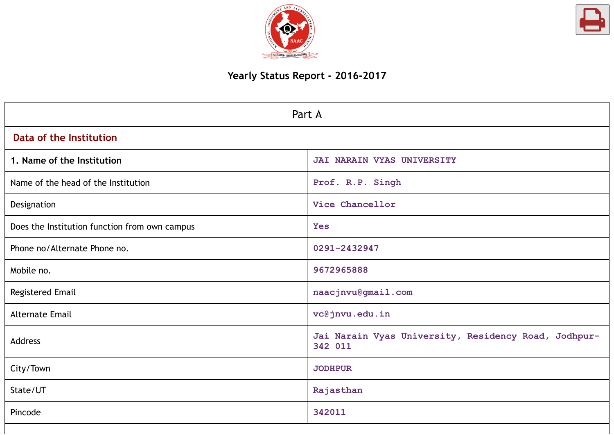



# **Yearly Status Report - 2016-2017**

|                                               | Part A                                                          |
|-----------------------------------------------|-----------------------------------------------------------------|
| Data of the Institution                       |                                                                 |
| 1. Name of the Institution                    | JAI NARAIN VYAS UNIVERSITY                                      |
| Name of the head of the Institution           | Prof. R.P. Singh                                                |
| Designation                                   | Vice Chancellor                                                 |
| Does the Institution function from own campus | <b>Yes</b>                                                      |
| Phone no/Alternate Phone no.                  | 0291-2432947                                                    |
| Mobile no.                                    | 9672965888                                                      |
| Registered Email                              | naacjnvu@gmail.com                                              |
| <b>Alternate Email</b>                        | vc@jnvu.edu.in                                                  |
| Address                                       | Jai Narain Vyas University, Residency Road, Jodhpur-<br>342 011 |
| City/Town                                     | <b>JODHPUR</b>                                                  |
| State/UT                                      | Rajasthan                                                       |
| Pincode                                       | 342011                                                          |
|                                               |                                                                 |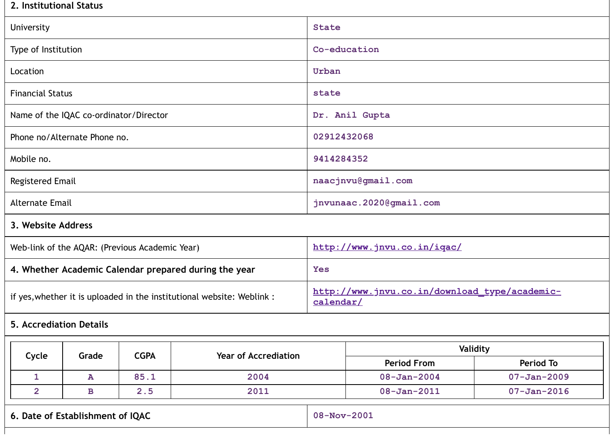# **2. Institutional Status**

| 2. Institutional Status                        |       |             |                                                                        |                                                            |                |  |  |  |  |  |
|------------------------------------------------|-------|-------------|------------------------------------------------------------------------|------------------------------------------------------------|----------------|--|--|--|--|--|
| University                                     |       |             |                                                                        | <b>State</b>                                               |                |  |  |  |  |  |
| Type of Institution                            |       |             |                                                                        | Co-education                                               |                |  |  |  |  |  |
| Location                                       |       |             |                                                                        | Urban                                                      |                |  |  |  |  |  |
| <b>Financial Status</b>                        |       |             |                                                                        | state                                                      |                |  |  |  |  |  |
| Name of the IQAC co-ordinator/Director         |       |             |                                                                        |                                                            | Dr. Anil Gupta |  |  |  |  |  |
| Phone no/Alternate Phone no.                   |       |             |                                                                        | 02912432068                                                |                |  |  |  |  |  |
| Mobile no.                                     |       |             |                                                                        | 9414284352                                                 |                |  |  |  |  |  |
| Registered Email                               |       |             |                                                                        | naacjnvu@gmail.com                                         |                |  |  |  |  |  |
| <b>Alternate Email</b>                         |       |             |                                                                        | jnvunaac.2020@gmail.com                                    |                |  |  |  |  |  |
| 3. Website Address                             |       |             |                                                                        |                                                            |                |  |  |  |  |  |
| Web-link of the AQAR: (Previous Academic Year) |       |             |                                                                        | http://www.jnvu.co.in/iqac/                                |                |  |  |  |  |  |
|                                                |       |             | 4. Whether Academic Calendar prepared during the year                  | <b>Yes</b>                                                 |                |  |  |  |  |  |
|                                                |       |             | if yes, whether it is uploaded in the institutional website: Weblink : | http://www.jnvu.co.in/download type/academic-<br>calendar/ |                |  |  |  |  |  |
| <b>5. Accrediation Details</b>                 |       |             |                                                                        |                                                            |                |  |  |  |  |  |
| Cycle                                          | Grade | <b>CGPA</b> | <b>Year of Accrediation</b>                                            | Validity                                                   |                |  |  |  |  |  |

| $\sim$ y $\sim$ t $\sim$ | <b>Provic</b> | <b>COLA</b> | $1$ uu vi Auuruuni 1 | <b>Period From</b> | Period To         |
|--------------------------|---------------|-------------|----------------------|--------------------|-------------------|
|                          | æ             | 85.1        | 2004                 | $08 - Jan - 2004$  | $07 - Jan - 2009$ |
|                          |               | . . ب       | 2011                 | $08 - Jan - 2011$  | $07 - Jan - 2016$ |

|  |  |  | 6. Date of Establishment of IQAC |  |  |
|--|--|--|----------------------------------|--|--|
|--|--|--|----------------------------------|--|--|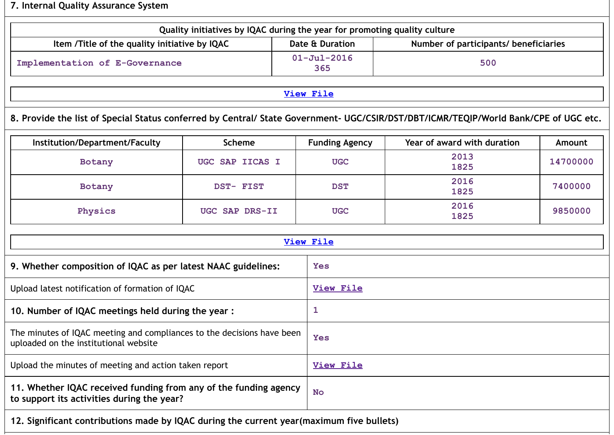# **7. Internal Quality Assurance System**

|                                                                                                                                      | Quality initiatives by IQAC during the year for promoting quality culture |  |                          |                                       |               |  |  |  |  |  |  |
|--------------------------------------------------------------------------------------------------------------------------------------|---------------------------------------------------------------------------|--|--------------------------|---------------------------------------|---------------|--|--|--|--|--|--|
| Item /Title of the quality initiative by IQAC                                                                                        |                                                                           |  | Date & Duration          | Number of participants/ beneficiaries |               |  |  |  |  |  |  |
| Implementation of E-Governance                                                                                                       |                                                                           |  | $01 - Ju1 - 2016$<br>365 | 500                                   |               |  |  |  |  |  |  |
| <b>View File</b>                                                                                                                     |                                                                           |  |                          |                                       |               |  |  |  |  |  |  |
| 8. Provide the list of Special Status conferred by Central/ State Government- UGC/CSIR/DST/DBT/ICMR/TEQIP/World Bank/CPE of UGC etc. |                                                                           |  |                          |                                       |               |  |  |  |  |  |  |
| Institution/Department/Faculty                                                                                                       | <b>Scheme</b>                                                             |  | <b>Funding Agency</b>    | Year of award with duration           | <b>Amount</b> |  |  |  |  |  |  |
| Botany                                                                                                                               | UGC SAP IICAS I                                                           |  | <b>UGC</b>               | 2013<br>1825                          | 14700000      |  |  |  |  |  |  |
| Botany                                                                                                                               | DST- FIST                                                                 |  | <b>DST</b>               | 2016<br>1825                          | 7400000       |  |  |  |  |  |  |
| Physics                                                                                                                              | UGC SAP DRS-II                                                            |  | <b>UGC</b>               | 2016<br>1825                          | 9850000       |  |  |  |  |  |  |
|                                                                                                                                      |                                                                           |  | <b>View File</b>         |                                       |               |  |  |  |  |  |  |
| 9. Whether composition of IQAC as per latest NAAC guidelines:                                                                        |                                                                           |  | <b>Yes</b>               |                                       |               |  |  |  |  |  |  |
| Upload latest notification of formation of IQAC                                                                                      |                                                                           |  | <b>View File</b>         |                                       |               |  |  |  |  |  |  |
| 10. Number of IQAC meetings held during the year :                                                                                   |                                                                           |  | 1                        |                                       |               |  |  |  |  |  |  |
| The minutes of IQAC meeting and compliances to the decisions have been<br>uploaded on the institutional website                      |                                                                           |  | <b>Yes</b>               |                                       |               |  |  |  |  |  |  |
| Upload the minutes of meeting and action taken report                                                                                |                                                                           |  | <b>View File</b>         |                                       |               |  |  |  |  |  |  |
| 11. Whether IQAC received funding from any of the funding agency<br>to support its activities during the year?                       |                                                                           |  | <b>No</b>                |                                       |               |  |  |  |  |  |  |
| 12. Significant contributions made by IQAC during the current year (maximum five bullets)                                            |                                                                           |  |                          |                                       |               |  |  |  |  |  |  |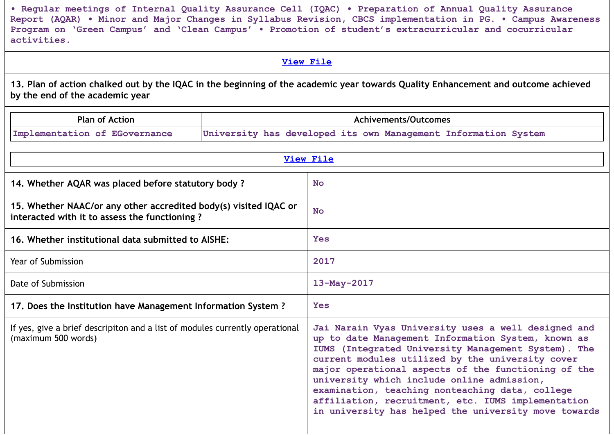**• Regular meetings of Internal Quality Assurance Cell (IQAC) • Preparation of Annual Quality Assurance** Report (AQAR) . Minor and Major Changes in Syllabus Revision, CBCS implementation in PG. . Campus Awareness **Program on 'Green Campus' and 'Clean Campus' • Promotion of student's extracurricular and cocurricular activities.**

### **View [File](https://assessmentonline.naac.gov.in/public/Postacc/Contribution/10746_Contribution.xlsx)**

13. Plan of action chalked out by the IQAC in the beginning of the academic year towards Quality Enhancement and outcome achieved **by the end of the academic year**

| <b>Plan of Action</b>                                                                                             | Achivements/Outcomes                                                                                                                                                                                                                                                                                                                                                                                                                                                                       |  |  |  |
|-------------------------------------------------------------------------------------------------------------------|--------------------------------------------------------------------------------------------------------------------------------------------------------------------------------------------------------------------------------------------------------------------------------------------------------------------------------------------------------------------------------------------------------------------------------------------------------------------------------------------|--|--|--|
| Implementation of EGovernance                                                                                     | University has developed its own Management Information System                                                                                                                                                                                                                                                                                                                                                                                                                             |  |  |  |
|                                                                                                                   |                                                                                                                                                                                                                                                                                                                                                                                                                                                                                            |  |  |  |
|                                                                                                                   | <b>View File</b>                                                                                                                                                                                                                                                                                                                                                                                                                                                                           |  |  |  |
| 14. Whether AQAR was placed before statutory body?                                                                | <b>No</b>                                                                                                                                                                                                                                                                                                                                                                                                                                                                                  |  |  |  |
| 15. Whether NAAC/or any other accredited body(s) visited IQAC or<br>interacted with it to assess the functioning? | <b>No</b>                                                                                                                                                                                                                                                                                                                                                                                                                                                                                  |  |  |  |
| 16. Whether institutional data submitted to AISHE:                                                                | <b>Yes</b>                                                                                                                                                                                                                                                                                                                                                                                                                                                                                 |  |  |  |
| Year of Submission                                                                                                | 2017                                                                                                                                                                                                                                                                                                                                                                                                                                                                                       |  |  |  |
| Date of Submission                                                                                                | 13-May-2017                                                                                                                                                                                                                                                                                                                                                                                                                                                                                |  |  |  |
| 17. Does the Institution have Management Information System?                                                      | <b>Yes</b>                                                                                                                                                                                                                                                                                                                                                                                                                                                                                 |  |  |  |
| If yes, give a brief descripiton and a list of modules currently operational<br>(maximum 500 words)               | Jai Narain Vyas University uses a well designed and<br>up to date Management Information System, known as<br>IUMS (Integrated University Management System). The<br>current modules utilized by the university cover<br>major operational aspects of the functioning of the<br>university which include online admission,<br>examination, teaching nonteaching data, college<br>affiliation, recruitment, etc. IUMS implementation<br>in university has helped the university move towards |  |  |  |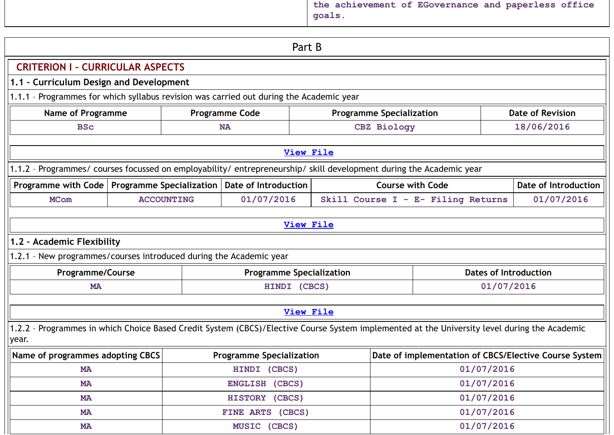**the achievement of EGovernance and paperless office goals.**

|                                                                                                                                                       |                  |                   | Part B                          |                                 |                         |                                                       |                         |  |  |  |
|-------------------------------------------------------------------------------------------------------------------------------------------------------|------------------|-------------------|---------------------------------|---------------------------------|-------------------------|-------------------------------------------------------|-------------------------|--|--|--|
| <b>CRITERION I - CURRICULAR ASPECTS</b>                                                                                                               |                  |                   |                                 |                                 |                         |                                                       |                         |  |  |  |
| 1.1 - Curriculum Design and Development                                                                                                               |                  |                   |                                 |                                 |                         |                                                       |                         |  |  |  |
| 1.1.1 - Programmes for which syllabus revision was carried out during the Academic year                                                               |                  |                   |                                 |                                 |                         |                                                       |                         |  |  |  |
| <b>Name of Programme</b>                                                                                                                              |                  |                   | <b>Programme Code</b>           | <b>Programme Specialization</b> |                         |                                                       | <b>Date of Revision</b> |  |  |  |
| <b>BSc</b>                                                                                                                                            |                  |                   | <b>NA</b>                       |                                 | CBZ Biology             |                                                       | 18/06/2016              |  |  |  |
|                                                                                                                                                       | <b>View File</b> |                   |                                 |                                 |                         |                                                       |                         |  |  |  |
| 1.1.2 - Programmes/ courses focussed on employability/ entrepreneurship/ skill development during the Academic year                                   |                  |                   |                                 |                                 |                         |                                                       |                         |  |  |  |
| Programme with Code   Programme Specialization                                                                                                        |                  |                   | Date of Introduction            |                                 | <b>Course with Code</b> |                                                       | Date of Introduction    |  |  |  |
| <b>MCom</b>                                                                                                                                           |                  | <b>ACCOUNTING</b> | 01/07/2016                      |                                 |                         | Skill Course I - E- Filing Returns                    | 01/07/2016              |  |  |  |
|                                                                                                                                                       |                  |                   |                                 |                                 |                         |                                                       |                         |  |  |  |
|                                                                                                                                                       |                  |                   | <b>View File</b>                |                                 |                         |                                                       |                         |  |  |  |
| 1.2 - Academic Flexibility                                                                                                                            |                  |                   |                                 |                                 |                         |                                                       |                         |  |  |  |
| 1.2.1 - New programmes/courses introduced during the Academic year                                                                                    |                  |                   |                                 |                                 |                         |                                                       |                         |  |  |  |
| <b>Programme/Course</b>                                                                                                                               |                  |                   | <b>Programme Specialization</b> |                                 |                         | <b>Dates of Introduction</b>                          |                         |  |  |  |
| <b>MA</b>                                                                                                                                             |                  |                   | HINDI (CBCS)                    |                                 |                         | 01/07/2016                                            |                         |  |  |  |
|                                                                                                                                                       |                  |                   |                                 |                                 |                         |                                                       |                         |  |  |  |
|                                                                                                                                                       |                  |                   | <b>View File</b>                |                                 |                         |                                                       |                         |  |  |  |
| 1.2.2 - Programmes in which Choice Based Credit System (CBCS)/Elective Course System implemented at the University level during the Academic<br>year. |                  |                   |                                 |                                 |                         |                                                       |                         |  |  |  |
| Name of programmes adopting CBCS                                                                                                                      |                  |                   | <b>Programme Specialization</b> |                                 |                         | Date of implementation of CBCS/Elective Course System |                         |  |  |  |
| <b>MA</b>                                                                                                                                             |                  |                   | HINDI (CBCS)                    |                                 |                         | 01/07/2016                                            |                         |  |  |  |
| <b>MA</b>                                                                                                                                             |                  |                   | ENGLISH (CBCS)                  |                                 |                         | 01/07/2016                                            |                         |  |  |  |
| <b>MA</b>                                                                                                                                             |                  |                   | HISTORY (CBCS)                  |                                 |                         | 01/07/2016                                            |                         |  |  |  |
| <b>MA</b>                                                                                                                                             |                  |                   | FINE ARTS (CBCS)                |                                 |                         | 01/07/2016                                            |                         |  |  |  |
| <b>MA</b>                                                                                                                                             |                  |                   | MUSIC (CBCS)                    |                                 |                         | 01/07/2016                                            |                         |  |  |  |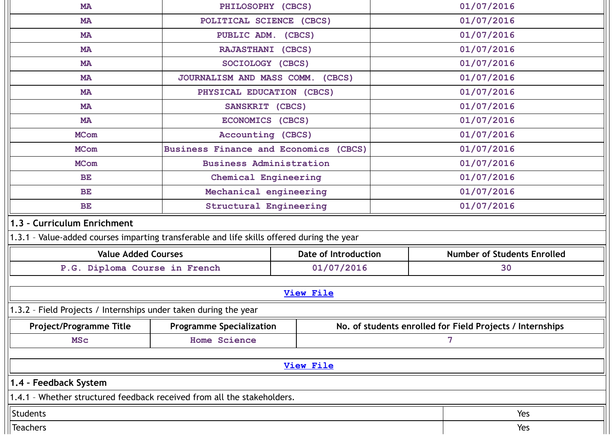| <b>MA</b>                                                                                  | PHILOSOPHY (CBCS)                     |                             |            | 01/07/2016                                                |  |
|--------------------------------------------------------------------------------------------|---------------------------------------|-----------------------------|------------|-----------------------------------------------------------|--|
| <b>MA</b>                                                                                  | POLITICAL SCIENCE (CBCS)              |                             |            | 01/07/2016                                                |  |
| <b>MA</b>                                                                                  | PUBLIC ADM. (CBCS)                    |                             |            | 01/07/2016                                                |  |
| <b>MA</b>                                                                                  | RAJASTHANI (CBCS)                     |                             |            | 01/07/2016                                                |  |
| <b>MA</b>                                                                                  | SOCIOLOGY (CBCS)                      |                             |            | 01/07/2016                                                |  |
| <b>MA</b>                                                                                  | JOURNALISM AND MASS COMM. (CBCS)      |                             |            | 01/07/2016                                                |  |
| <b>MA</b>                                                                                  | PHYSICAL EDUCATION (CBCS)             |                             |            | 01/07/2016                                                |  |
| <b>MA</b>                                                                                  | SANSKRIT (CBCS)                       |                             |            | 01/07/2016                                                |  |
| <b>MA</b>                                                                                  | ECONOMICS (CBCS)                      |                             |            | 01/07/2016                                                |  |
| <b>MCom</b>                                                                                | Accounting (CBCS)                     |                             |            | 01/07/2016                                                |  |
| <b>MCom</b>                                                                                | Business Finance and Economics (CBCS) |                             |            | 01/07/2016                                                |  |
| <b>MCom</b>                                                                                | <b>Business Administration</b>        |                             |            | 01/07/2016                                                |  |
| <b>BE</b>                                                                                  | Chemical Engineering                  |                             |            | 01/07/2016                                                |  |
| <b>BE</b>                                                                                  | Mechanical engineering                |                             |            | 01/07/2016                                                |  |
| <b>BE</b>                                                                                  | <b>Structural Engineering</b>         |                             | 01/07/2016 |                                                           |  |
| 1.3 - Curriculum Enrichment                                                                |                                       |                             |            |                                                           |  |
| 1.3.1 - Value-added courses imparting transferable and life skills offered during the year |                                       |                             |            |                                                           |  |
| <b>Value Added Courses</b>                                                                 |                                       | <b>Date of Introduction</b> |            | <b>Number of Students Enrolled</b>                        |  |
| P.G. Diploma Course in French                                                              |                                       | 01/07/2016                  | 30         |                                                           |  |
|                                                                                            |                                       |                             |            |                                                           |  |
|                                                                                            |                                       | <b>View File</b>            |            |                                                           |  |
| 1.3.2 - Field Projects / Internships under taken during the year                           |                                       |                             |            |                                                           |  |
| Project/Programme Title                                                                    | <b>Programme Specialization</b>       |                             |            | No. of students enrolled for Field Projects / Internships |  |
| <b>MSC</b>                                                                                 | <b>Home Science</b>                   |                             |            | $\overline{7}$                                            |  |
|                                                                                            |                                       |                             |            |                                                           |  |
|                                                                                            |                                       | <b>View File</b>            |            |                                                           |  |
| 1.4 - Feedback System                                                                      |                                       |                             |            |                                                           |  |
| 1.4.1 - Whether structured feedback received from all the stakeholders.                    |                                       |                             |            |                                                           |  |
| Students                                                                                   |                                       |                             |            | Yes                                                       |  |
| <b>Teachers</b>                                                                            |                                       |                             |            | Yes                                                       |  |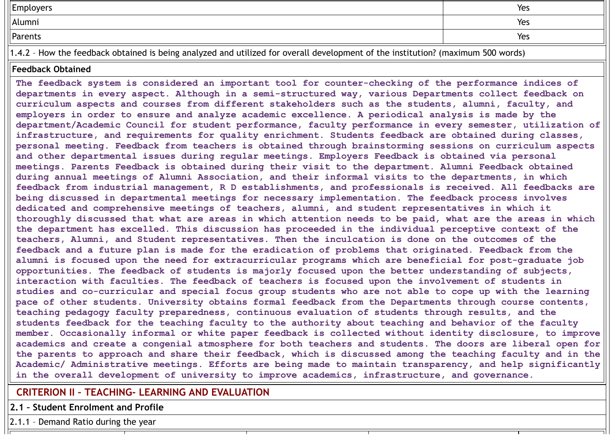| Employers                                                                                                                        | Yes |
|----------------------------------------------------------------------------------------------------------------------------------|-----|
| Alumni                                                                                                                           | Yes |
| Parents                                                                                                                          | Yes |
| 1.4.2 - How the feedback obtained is being analyzed and utilized for overall development of the institution? (maximum 500 words) |     |

### **Feedback Obtained**

**The feedback system is considered an important tool for counter-checking of the performance indices of departments in every aspect. Although in a semi-structured way, various Departments collect feedback on curriculum aspects and courses from different stakeholders such as the students, alumni, faculty, and employers in order to ensure and analyze academic excellence. A periodical analysis is made by the department/Academic Council for student performance, faculty performance in every semester, utilization of infrastructure, and requirements for quality enrichment. Students feedback are obtained during classes, personal meeting. Feedback from teachers is obtained through brainstorming sessions on curriculum aspects and other departmental issues during regular meetings. Employers Feedback is obtained via personal meetings. Parents Feedback is obtained during their visit to the department. Alumni Feedback obtained during annual meetings of Alumni Association, and their informal visits to the departments, in which feedback from industrial management, R D establishments, and professionals is received. All feedbacks are being discussed in departmental meetings for necessary implementation. The feedback process involves dedicated and comprehensive meetings of teachers, alumni, and student representatives in which it** thoroughly discussed that what are areas in which attention needs to be paid, what are the areas in which **the department has excelled. This discussion has proceeded in the individual perceptive context of the teachers, Alumni, and Student representatives. Then the inculcation is done on the outcomes of the feedback and a future plan is made for the eradication of problems that originated. Feedback from the alumni is focused upon the need for extracurricular programs which are beneficial for post-graduate job opportunities. The feedback of students is majorly focused upon the better understanding of subjects, interaction with faculties. The feedback of teachers is focused upon the involvement of students in** studies and co-curricular and special focus group students who are not able to cope up with the learning **pace of other students. University obtains formal feedback from the Departments through course contents, teaching pedagogy faculty preparedness, continuous evaluation of students through results, and the students feedback for the teaching faculty to the authority about teaching and behavior of the faculty member. Occasionally informal or white paper feedback is collected without identity disclosure, to improve** academics and create a congenial atmosphere for both teachers and students. The doors are liberal open for the parents to approach and share their feedback, which is discussed among the teaching faculty and in the **Academic/ Administrative meetings. Efforts are being made to maintain transparency, and help significantly in the overall development of university to improve academics, infrastructure, and governance.**

# **CRITERION II – TEACHING- LEARNING AND EVALUATION**

**2.1 – Student Enrolment and Profile**

2.1.1 – Demand Ratio during the year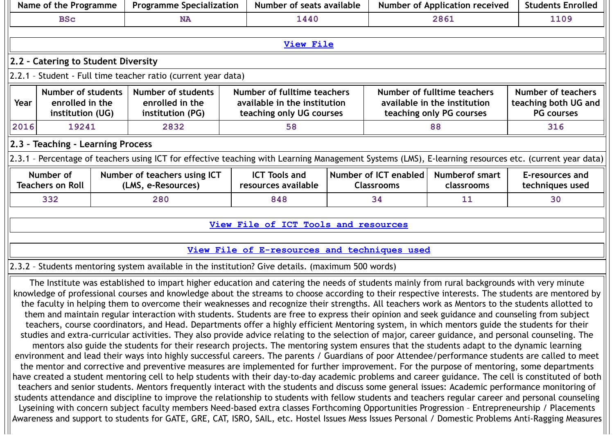|                         | Name of the Programme                                                                                                                                                                                                                                                                                                      |  | <b>Programme Specialization</b>                                                                                                                                                                                                                                                                                                                                                                                                                                                                                                                                                                      |      | Number of seats available                                              |    |                                            | <b>Number of Application received</b> | <b>Students Enrolled</b>           |  |  |  |  |
|-------------------------|----------------------------------------------------------------------------------------------------------------------------------------------------------------------------------------------------------------------------------------------------------------------------------------------------------------------------|--|------------------------------------------------------------------------------------------------------------------------------------------------------------------------------------------------------------------------------------------------------------------------------------------------------------------------------------------------------------------------------------------------------------------------------------------------------------------------------------------------------------------------------------------------------------------------------------------------------|------|------------------------------------------------------------------------|----|--------------------------------------------|---------------------------------------|------------------------------------|--|--|--|--|
| <b>BSc</b><br><b>NA</b> |                                                                                                                                                                                                                                                                                                                            |  |                                                                                                                                                                                                                                                                                                                                                                                                                                                                                                                                                                                                      | 1440 |                                                                        |    | 2861                                       | 1109                                  |                                    |  |  |  |  |
|                         |                                                                                                                                                                                                                                                                                                                            |  |                                                                                                                                                                                                                                                                                                                                                                                                                                                                                                                                                                                                      |      |                                                                        |    |                                            |                                       |                                    |  |  |  |  |
|                         |                                                                                                                                                                                                                                                                                                                            |  |                                                                                                                                                                                                                                                                                                                                                                                                                                                                                                                                                                                                      |      | <b>View File</b>                                                       |    |                                            |                                       |                                    |  |  |  |  |
|                         | 2.2 - Catering to Student Diversity                                                                                                                                                                                                                                                                                        |  |                                                                                                                                                                                                                                                                                                                                                                                                                                                                                                                                                                                                      |      |                                                                        |    |                                            |                                       |                                    |  |  |  |  |
|                         |                                                                                                                                                                                                                                                                                                                            |  | 2.2.1 - Student - Full time teacher ratio (current year data)                                                                                                                                                                                                                                                                                                                                                                                                                                                                                                                                        |      |                                                                        |    |                                            |                                       |                                    |  |  |  |  |
| Year                    | <b>Number of students</b><br><b>Number of students</b><br>Number of fulltime teachers<br>Number of fulltime teachers<br>enrolled in the<br>enrolled in the<br>available in the institution<br>available in the institution<br>teaching only UG courses<br>teaching only PG courses<br>institution (UG)<br>institution (PG) |  |                                                                                                                                                                                                                                                                                                                                                                                                                                                                                                                                                                                                      |      | <b>Number of teachers</b><br>teaching both UG and<br><b>PG courses</b> |    |                                            |                                       |                                    |  |  |  |  |
| 2016                    | 19241                                                                                                                                                                                                                                                                                                                      |  | 2832                                                                                                                                                                                                                                                                                                                                                                                                                                                                                                                                                                                                 |      | 58                                                                     |    |                                            | 88                                    | 316                                |  |  |  |  |
|                         | 2.3 - Teaching - Learning Process                                                                                                                                                                                                                                                                                          |  |                                                                                                                                                                                                                                                                                                                                                                                                                                                                                                                                                                                                      |      |                                                                        |    |                                            |                                       |                                    |  |  |  |  |
|                         |                                                                                                                                                                                                                                                                                                                            |  | 2.3.1 - Percentage of teachers using ICT for effective teaching with Learning Management Systems (LMS), E-learning resources etc. (current year data)                                                                                                                                                                                                                                                                                                                                                                                                                                                |      |                                                                        |    |                                            |                                       |                                    |  |  |  |  |
|                         | Number of<br><b>Teachers on Roll</b>                                                                                                                                                                                                                                                                                       |  | Number of teachers using ICT<br>(LMS, e-Resources)                                                                                                                                                                                                                                                                                                                                                                                                                                                                                                                                                   |      | <b>ICT Tools and</b><br>resources available                            |    | Number of ICT enabled<br><b>Classrooms</b> | <b>Numberof smart</b><br>classrooms   | E-resources and<br>techniques used |  |  |  |  |
|                         | 332                                                                                                                                                                                                                                                                                                                        |  | 280                                                                                                                                                                                                                                                                                                                                                                                                                                                                                                                                                                                                  |      | 848                                                                    | 34 |                                            | 11                                    | 30                                 |  |  |  |  |
|                         |                                                                                                                                                                                                                                                                                                                            |  |                                                                                                                                                                                                                                                                                                                                                                                                                                                                                                                                                                                                      |      |                                                                        |    |                                            |                                       |                                    |  |  |  |  |
|                         |                                                                                                                                                                                                                                                                                                                            |  |                                                                                                                                                                                                                                                                                                                                                                                                                                                                                                                                                                                                      |      | View File of ICT Tools and resources                                   |    |                                            |                                       |                                    |  |  |  |  |
|                         |                                                                                                                                                                                                                                                                                                                            |  |                                                                                                                                                                                                                                                                                                                                                                                                                                                                                                                                                                                                      |      | View File of E-resources and techniques used                           |    |                                            |                                       |                                    |  |  |  |  |
|                         |                                                                                                                                                                                                                                                                                                                            |  | 2.3.2 - Students mentoring system available in the institution? Give details. (maximum 500 words)                                                                                                                                                                                                                                                                                                                                                                                                                                                                                                    |      |                                                                        |    |                                            |                                       |                                    |  |  |  |  |
|                         |                                                                                                                                                                                                                                                                                                                            |  | The Institute was established to impart higher education and catering the needs of students mainly from rural backgrounds with very minute<br>knowledge of professional courses and knowledge about the streams to choose according to their respective interests. The students are mentored by<br>the faculty in helping them to overcome their weaknesses and recognize their strengths. All teachers work as Mentors to the students allotted to<br>them and maintain regular interaction with students. Students are free to express their opinion and seek guidance and counseling from subject |      |                                                                        |    |                                            |                                       |                                    |  |  |  |  |

teachers, course coordinators, and Head. Departments offer a highly efficient Mentoring system, in which mentors guide the students for their studies and extra-curricular activities. They also provide advice relating to the selection of major, career guidance, and personal counseling. The mentors also guide the students for their research projects. The mentoring system ensures that the students adapt to the dynamic learning environment and lead their ways into highly successful careers. The parents / Guardians of poor Attendee/performance students are called to meet the mentor and corrective and preventive measures are implemented for further improvement. For the purpose of mentoring, some departments have created a student mentoring cell to help students with their day-to-day academic problems and career guidance. The cell is constituted of both teachers and senior students. Mentors frequently interact with the students and discuss some general issues: Academic performance monitoring of students attendance and discipline to improve the relationship to students with fellow students and teachers regular career and personal counseling Lyseining with concern subject faculty members Need-based extra classes Forthcoming Opportunities Progression – Entrepreneurship / Placements Awareness and support to students for GATE, GRE, CAT, ISRO, SAIL, etc. Hostel Issues Mess Issues Personal / Domestic Problems Anti-Ragging Measures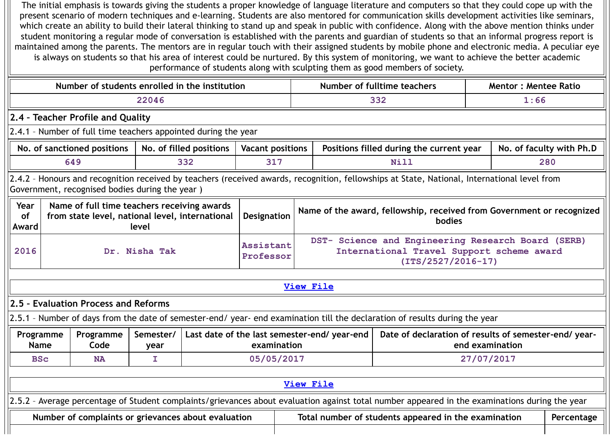The initial emphasis is towards giving the students a proper knowledge of language literature and computers so that they could cope up with the present scenario of modern techniques and e-learning. Students are also mentored for communication skills development activities like seminars, which create an ability to build their lateral thinking to stand up and speak in public with confidence. Along with the above mention thinks under student monitoring a regular mode of conversation is established with the parents and guardian of students so that an informal progress report is maintained among the parents. The mentors are in regular touch with their assigned students by mobile phone and electronic media. A peculiar eye is always on students so that his area of interest could be nurtured. By this system of monitoring, we want to achieve the better academic performance of students along with sculpting them as good members of society.

Ш

|                                                                                                                                                                                                                                         | Number of students enrolled in the institution                                                                                                                                                |                   |     |                        |                                                                                                                         |                                              | Number of fulltime teachers                                                                                                                    | <b>Mentor: Mentee Ratio</b> |            |  |  |  |
|-----------------------------------------------------------------------------------------------------------------------------------------------------------------------------------------------------------------------------------------|-----------------------------------------------------------------------------------------------------------------------------------------------------------------------------------------------|-------------------|-----|------------------------|-------------------------------------------------------------------------------------------------------------------------|----------------------------------------------|------------------------------------------------------------------------------------------------------------------------------------------------|-----------------------------|------------|--|--|--|
|                                                                                                                                                                                                                                         |                                                                                                                                                                                               | 22046             |     |                        |                                                                                                                         |                                              | 332                                                                                                                                            | 1:66                        |            |  |  |  |
|                                                                                                                                                                                                                                         | 2.4 - Teacher Profile and Quality                                                                                                                                                             |                   |     |                        |                                                                                                                         |                                              |                                                                                                                                                |                             |            |  |  |  |
|                                                                                                                                                                                                                                         | 2.4.1 - Number of full time teachers appointed during the year                                                                                                                                |                   |     |                        |                                                                                                                         |                                              |                                                                                                                                                |                             |            |  |  |  |
|                                                                                                                                                                                                                                         | Positions filled during the current year<br>No. of faculty with Ph.D<br>No. of sanctioned positions<br>No. of filled positions<br><b>Vacant positions</b>                                     |                   |     |                        |                                                                                                                         |                                              |                                                                                                                                                |                             |            |  |  |  |
|                                                                                                                                                                                                                                         | 649                                                                                                                                                                                           |                   | 332 | 317                    |                                                                                                                         |                                              | Nill                                                                                                                                           |                             | 280        |  |  |  |
|                                                                                                                                                                                                                                         | 2.4.2 - Honours and recognition received by teachers (received awards, recognition, fellowships at State, National, International level from<br>Government, recognised bodies during the year |                   |     |                        |                                                                                                                         |                                              |                                                                                                                                                |                             |            |  |  |  |
| Year<br>Name of full time teachers receiving awards<br>Name of the award, fellowship, received from Government or recognized<br>from state level, national level, international<br>of<br>Designation<br><b>bodies</b><br>level<br>Award |                                                                                                                                                                                               |                   |     |                        |                                                                                                                         |                                              |                                                                                                                                                |                             |            |  |  |  |
| 2016                                                                                                                                                                                                                                    | Dr. Nisha Tak                                                                                                                                                                                 |                   |     | Assistant<br>Professor | DST- Science and Engineering Research Board (SERB)<br>International Travel Support scheme award<br>$(TTS/2527/2016-17)$ |                                              |                                                                                                                                                |                             |            |  |  |  |
|                                                                                                                                                                                                                                         |                                                                                                                                                                                               |                   |     |                        |                                                                                                                         |                                              |                                                                                                                                                |                             |            |  |  |  |
|                                                                                                                                                                                                                                         |                                                                                                                                                                                               |                   |     |                        |                                                                                                                         | <b>View File</b>                             |                                                                                                                                                |                             |            |  |  |  |
|                                                                                                                                                                                                                                         | 2.5 - Evaluation Process and Reforms                                                                                                                                                          |                   |     |                        |                                                                                                                         |                                              |                                                                                                                                                |                             |            |  |  |  |
|                                                                                                                                                                                                                                         |                                                                                                                                                                                               |                   |     |                        |                                                                                                                         |                                              | 2.5.1 - Number of days from the date of semester-end/ year- end examination till the declaration of results during the year                    |                             |            |  |  |  |
| Programme<br><b>Name</b>                                                                                                                                                                                                                | Programme<br>Code                                                                                                                                                                             | Semester/<br>year |     | examination            |                                                                                                                         | Last date of the last semester-end/ year-end | Date of declaration of results of semester-end/year-                                                                                           | end examination             |            |  |  |  |
| <b>BSc</b>                                                                                                                                                                                                                              | <b>NA</b>                                                                                                                                                                                     | I.                |     | 05/05/2017             |                                                                                                                         |                                              |                                                                                                                                                | 27/07/2017                  |            |  |  |  |
|                                                                                                                                                                                                                                         |                                                                                                                                                                                               |                   |     |                        |                                                                                                                         |                                              |                                                                                                                                                |                             |            |  |  |  |
|                                                                                                                                                                                                                                         |                                                                                                                                                                                               |                   |     |                        |                                                                                                                         | <b>View File</b>                             |                                                                                                                                                |                             |            |  |  |  |
|                                                                                                                                                                                                                                         |                                                                                                                                                                                               |                   |     |                        |                                                                                                                         |                                              | 2.5.2 - Average percentage of Student complaints/grievances about evaluation against total number appeared in the examinations during the year |                             |            |  |  |  |
|                                                                                                                                                                                                                                         | Number of complaints or grievances about evaluation                                                                                                                                           |                   |     |                        |                                                                                                                         |                                              | Total number of students appeared in the examination                                                                                           |                             | Percentage |  |  |  |
|                                                                                                                                                                                                                                         |                                                                                                                                                                                               |                   |     |                        |                                                                                                                         |                                              |                                                                                                                                                |                             |            |  |  |  |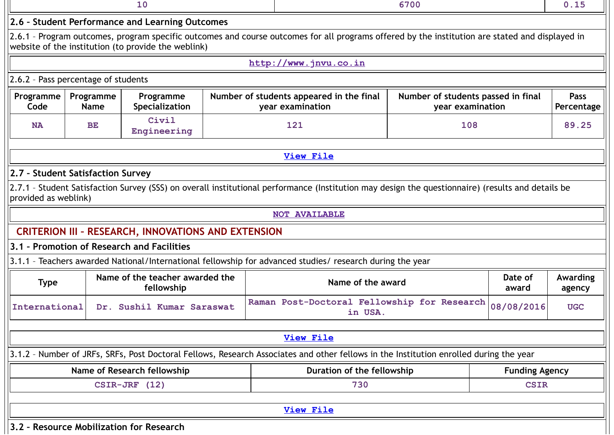|                                            |                          |                                                            |                                                                                                                                                 | 6700                                                   |                       |                           |  |  |
|--------------------------------------------|--------------------------|------------------------------------------------------------|-------------------------------------------------------------------------------------------------------------------------------------------------|--------------------------------------------------------|-----------------------|---------------------------|--|--|
|                                            |                          | 2.6 - Student Performance and Learning Outcomes            |                                                                                                                                                 |                                                        |                       |                           |  |  |
|                                            |                          | website of the institution (to provide the weblink)        | 2.6.1 - Program outcomes, program specific outcomes and course outcomes for all programs offered by the institution are stated and displayed in |                                                        |                       |                           |  |  |
|                                            |                          |                                                            | http://www.jnvu.co.in                                                                                                                           |                                                        |                       |                           |  |  |
| 2.6.2 - Pass percentage of students        |                          |                                                            |                                                                                                                                                 |                                                        |                       |                           |  |  |
| Programme<br>Code                          | Programme<br><b>Name</b> | Programme<br>Specialization                                | Number of students appeared in the final<br>year examination                                                                                    | Number of students passed in final<br>year examination |                       | <b>Pass</b><br>Percentage |  |  |
| <b>NA</b>                                  | <b>BE</b>                | Civil<br>Engineering                                       | 121                                                                                                                                             | 108                                                    |                       | 89.25                     |  |  |
|                                            |                          |                                                            | <b>View File</b>                                                                                                                                |                                                        |                       |                           |  |  |
| 2.7 - Student Satisfaction Survey          |                          |                                                            |                                                                                                                                                 |                                                        |                       |                           |  |  |
| provided as weblink)                       |                          | <b>CRITERION III - RESEARCH, INNOVATIONS AND EXTENSION</b> | <b>NOT AVAILABLE</b>                                                                                                                            |                                                        |                       |                           |  |  |
| 3.1 - Promotion of Research and Facilities |                          |                                                            | 3.1.1 - Teachers awarded National/International fellowship for advanced studies/ research during the year                                       |                                                        |                       |                           |  |  |
| <b>Type</b>                                |                          | Name of the teacher awarded the<br>fellowship              | Name of the award                                                                                                                               |                                                        | Date of<br>award      | <b>Awarding</b><br>agency |  |  |
| International                              |                          | Dr. Sushil Kumar Saraswat                                  | Raman Post-Doctoral Fellowship for Research<br>in USA.                                                                                          |                                                        | 08/08/2016            | <b>UGC</b>                |  |  |
|                                            |                          |                                                            | <b>View File</b>                                                                                                                                |                                                        |                       |                           |  |  |
|                                            |                          |                                                            | 3.1.2 - Number of JRFs, SRFs, Post Doctoral Fellows, Research Associates and other fellows in the Institution enrolled during the year          |                                                        |                       |                           |  |  |
|                                            |                          | Name of Research fellowship                                | Duration of the fellowship                                                                                                                      |                                                        | <b>Funding Agency</b> |                           |  |  |
|                                            |                          | $CSTR-JRF$ (12)                                            | 730                                                                                                                                             |                                                        | <b>CSIR</b>           |                           |  |  |
|                                            |                          |                                                            | <b>View File</b>                                                                                                                                |                                                        |                       |                           |  |  |
| 3.2 - Resource Mobilization for Research   |                          |                                                            |                                                                                                                                                 |                                                        |                       |                           |  |  |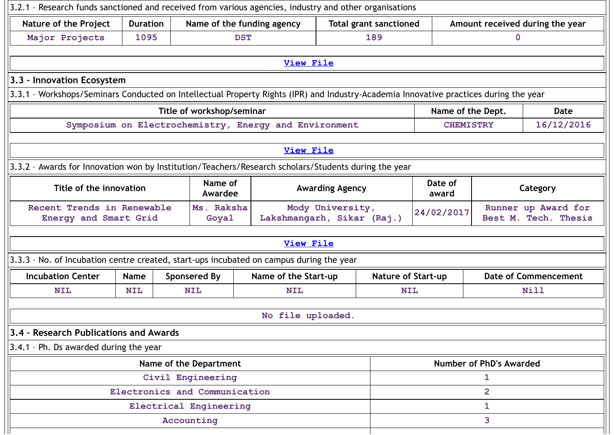| 3.2.1 - Research funds sanctioned and received from various agencies, industry and other organisations                                |                 |                                             |                                                       |                        |                               |                   |                              |                                             |
|---------------------------------------------------------------------------------------------------------------------------------------|-----------------|---------------------------------------------|-------------------------------------------------------|------------------------|-------------------------------|-------------------|------------------------------|---------------------------------------------|
| <b>Nature of the Project</b>                                                                                                          | <b>Duration</b> |                                             | Name of the funding agency                            |                        | <b>Total grant sanctioned</b> |                   |                              | Amount received during the year             |
| Major Projects                                                                                                                        | 1095            | <b>DST</b>                                  |                                                       |                        | 189                           |                   | $\mathbf 0$                  |                                             |
|                                                                                                                                       |                 |                                             | <b>View File</b>                                      |                        |                               |                   |                              |                                             |
| 3.3 - Innovation Ecosystem                                                                                                            |                 |                                             |                                                       |                        |                               |                   |                              |                                             |
| 3.3.1 - Workshops/Seminars Conducted on Intellectual Property Rights (IPR) and Industry-Academia Innovative practices during the year |                 |                                             |                                                       |                        |                               |                   |                              |                                             |
|                                                                                                                                       |                 | Title of workshop/seminar                   |                                                       |                        |                               | Name of the Dept. |                              | Date                                        |
|                                                                                                                                       |                 |                                             | Symposium on Electrochemistry, Energy and Environment |                        |                               | <b>CHEMISTRY</b>  |                              | 16/12/2016                                  |
|                                                                                                                                       |                 |                                             | <b>View File</b>                                      |                        |                               |                   |                              |                                             |
| 3.3.2 - Awards for Innovation won by Institution/Teachers/Research scholars/Students during the year                                  |                 |                                             |                                                       |                        |                               |                   |                              |                                             |
| Title of the innovation                                                                                                               |                 | Name of<br>Awardee                          |                                                       | <b>Awarding Agency</b> |                               | Date of<br>award  |                              | Category                                    |
| Recent Trends in Renewable<br>Energy and Smart Grid                                                                                   |                 | Ms. Raksha<br>Goyal                         | Lakshmangarh, Sikar (Raj.)                            | Mody University,       |                               | 24/02/2017        |                              | Runner up Award for<br>Best M. Tech. Thesis |
|                                                                                                                                       |                 |                                             | <b>View File</b>                                      |                        |                               |                   |                              |                                             |
| 3.3.3 - No. of Incubation centre created, start-ups incubated on campus during the year                                               |                 |                                             |                                                       |                        |                               |                   |                              |                                             |
| <b>Incubation Center</b>                                                                                                              | Name            | <b>Sponsered By</b>                         | Name of the Start-up                                  |                        | <b>Nature of Start-up</b>     |                   |                              | <b>Date of Commencement</b>                 |
| <b>NIL</b>                                                                                                                            | <b>NIL</b>      | <b>NIL</b>                                  | <b>NIL</b>                                            |                        | <b>NIL</b>                    |                   |                              | <b>Nill</b>                                 |
|                                                                                                                                       |                 |                                             | No file uploaded.                                     |                        |                               |                   |                              |                                             |
| 3.4 - Research Publications and Awards                                                                                                |                 |                                             |                                                       |                        |                               |                   |                              |                                             |
| 3.4.1 - Ph. Ds awarded during the year                                                                                                |                 |                                             |                                                       |                        |                               |                   |                              |                                             |
|                                                                                                                                       |                 |                                             |                                                       |                        |                               |                   |                              |                                             |
|                                                                                                                                       |                 | Name of the Department<br>Civil Engineering |                                                       |                        |                               |                   | Number of PhD's Awarded<br>1 |                                             |
|                                                                                                                                       |                 | Electronics and Communication               |                                                       |                        |                               |                   | $\overline{2}$               |                                             |
|                                                                                                                                       |                 | Electrical Engineering                      |                                                       |                        |                               |                   | $\mathbf{1}$                 |                                             |
|                                                                                                                                       |                 | Accounting                                  |                                                       |                        |                               |                   | 3                            |                                             |
|                                                                                                                                       |                 |                                             |                                                       |                        |                               |                   |                              |                                             |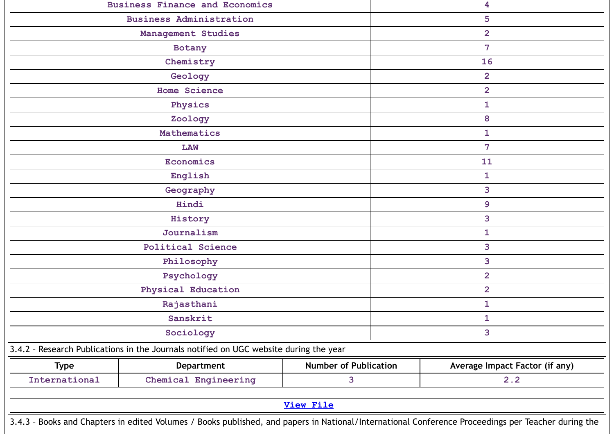|                                                                                                                                                    | <b>Business Administration</b><br>Management Studies<br>Botany<br>Chemistry<br>Geology<br><b>Home Science</b><br>Physics<br>Zoology<br>Mathematics<br><b>LAW</b><br>Economics<br>English<br>Geography |                              | 5<br>$\overline{2}$<br>$\overline{7}$<br>16<br>$\overline{2}$<br>$\overline{2}$<br>$\mathbf{1}$<br>8<br>$\mathbf{1}$<br>$\overline{7}$ |
|----------------------------------------------------------------------------------------------------------------------------------------------------|-------------------------------------------------------------------------------------------------------------------------------------------------------------------------------------------------------|------------------------------|----------------------------------------------------------------------------------------------------------------------------------------|
|                                                                                                                                                    |                                                                                                                                                                                                       |                              |                                                                                                                                        |
|                                                                                                                                                    |                                                                                                                                                                                                       |                              |                                                                                                                                        |
|                                                                                                                                                    |                                                                                                                                                                                                       |                              |                                                                                                                                        |
|                                                                                                                                                    |                                                                                                                                                                                                       |                              |                                                                                                                                        |
|                                                                                                                                                    |                                                                                                                                                                                                       |                              |                                                                                                                                        |
|                                                                                                                                                    |                                                                                                                                                                                                       |                              |                                                                                                                                        |
|                                                                                                                                                    |                                                                                                                                                                                                       |                              |                                                                                                                                        |
|                                                                                                                                                    |                                                                                                                                                                                                       |                              |                                                                                                                                        |
|                                                                                                                                                    |                                                                                                                                                                                                       |                              |                                                                                                                                        |
|                                                                                                                                                    |                                                                                                                                                                                                       |                              |                                                                                                                                        |
|                                                                                                                                                    |                                                                                                                                                                                                       |                              | 11                                                                                                                                     |
|                                                                                                                                                    |                                                                                                                                                                                                       |                              | $\mathbf{1}$                                                                                                                           |
|                                                                                                                                                    |                                                                                                                                                                                                       |                              | 3                                                                                                                                      |
|                                                                                                                                                    | Hindi                                                                                                                                                                                                 |                              | 9                                                                                                                                      |
|                                                                                                                                                    | History                                                                                                                                                                                               |                              | 3                                                                                                                                      |
|                                                                                                                                                    | Journalism                                                                                                                                                                                            |                              | $\mathbf{1}$                                                                                                                           |
|                                                                                                                                                    | <b>Political Science</b>                                                                                                                                                                              |                              | 3                                                                                                                                      |
|                                                                                                                                                    | Philosophy                                                                                                                                                                                            |                              | 3                                                                                                                                      |
|                                                                                                                                                    | Psychology                                                                                                                                                                                            |                              | $\overline{2}$                                                                                                                         |
|                                                                                                                                                    | Physical Education                                                                                                                                                                                    |                              | $\overline{2}$                                                                                                                         |
|                                                                                                                                                    | Rajasthani                                                                                                                                                                                            |                              | $\mathbf{1}$                                                                                                                           |
|                                                                                                                                                    | Sanskrit                                                                                                                                                                                              |                              | 1                                                                                                                                      |
|                                                                                                                                                    | Sociology                                                                                                                                                                                             |                              | 3                                                                                                                                      |
| 3.4.2 - Research Publications in the Journals notified on UGC website during the year                                                              |                                                                                                                                                                                                       |                              |                                                                                                                                        |
| <b>Type</b>                                                                                                                                        | Department                                                                                                                                                                                            | <b>Number of Publication</b> | Average Impact Factor (if any)                                                                                                         |
| International                                                                                                                                      | Chemical Engineering                                                                                                                                                                                  | 3                            | 2.2                                                                                                                                    |
|                                                                                                                                                    |                                                                                                                                                                                                       | <b>View File</b>             |                                                                                                                                        |
| 3.4.3 - Books and Chapters in edited Volumes / Books published, and papers in National/International Conference Proceedings per Teacher during the |                                                                                                                                                                                                       |                              |                                                                                                                                        |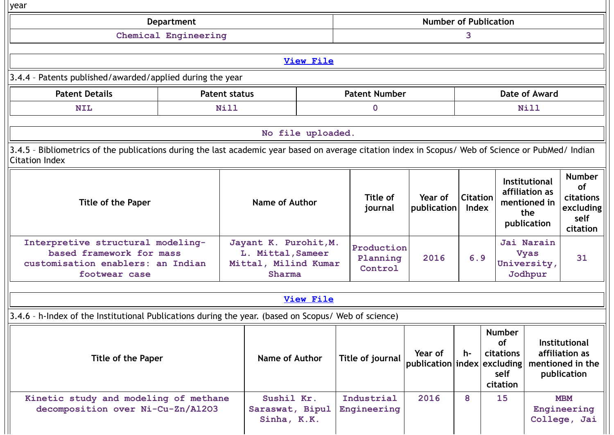| year                                                                                                                                                                                                                                                 |                      |                                                                              |                   |                                   |                              |                          |    |                                                                       |                                                                   |
|------------------------------------------------------------------------------------------------------------------------------------------------------------------------------------------------------------------------------------------------------|----------------------|------------------------------------------------------------------------------|-------------------|-----------------------------------|------------------------------|--------------------------|----|-----------------------------------------------------------------------|-------------------------------------------------------------------|
|                                                                                                                                                                                                                                                      | <b>Department</b>    |                                                                              |                   |                                   | <b>Number of Publication</b> |                          |    |                                                                       |                                                                   |
|                                                                                                                                                                                                                                                      | Chemical Engineering |                                                                              |                   |                                   |                              | 3                        |    |                                                                       |                                                                   |
|                                                                                                                                                                                                                                                      |                      |                                                                              |                   |                                   |                              |                          |    |                                                                       |                                                                   |
|                                                                                                                                                                                                                                                      |                      |                                                                              | <b>View File</b>  |                                   |                              |                          |    |                                                                       |                                                                   |
| 3.4.4 - Patents published/awarded/applied during the year                                                                                                                                                                                            |                      |                                                                              |                   |                                   |                              |                          |    |                                                                       |                                                                   |
| <b>Patent Details</b>                                                                                                                                                                                                                                | <b>Patent status</b> |                                                                              |                   | <b>Patent Number</b>              |                              |                          |    | Date of Award                                                         |                                                                   |
| <b>NIL</b>                                                                                                                                                                                                                                           | <b>Nill</b>          |                                                                              |                   | $\mathbf 0$                       |                              |                          |    | <b>Nill</b>                                                           |                                                                   |
|                                                                                                                                                                                                                                                      |                      |                                                                              |                   |                                   |                              |                          |    |                                                                       |                                                                   |
|                                                                                                                                                                                                                                                      |                      |                                                                              | No file uploaded. |                                   |                              |                          |    |                                                                       |                                                                   |
| 3.4.5 - Bibliometrics of the publications during the last academic year based on average citation index in Scopus/ Web of Science or PubMed/ Indian<br><b>Citation Index</b>                                                                         |                      |                                                                              |                   |                                   |                              |                          |    |                                                                       |                                                                   |
| <b>Title of the Paper</b>                                                                                                                                                                                                                            |                      | <b>Name of Author</b>                                                        |                   | Title of<br>journal               | Year of<br>publication       | <b>Citation</b><br>Index |    | Institutional<br>affiliation as<br>mentioned in<br>the<br>publication | <b>Number</b><br>of<br>citations<br>excluding<br>self<br>citation |
| Interpretive structural modeling-<br>based framework for mass<br>customisation enablers: an Indian<br>footwear case                                                                                                                                  |                      | Jayant K. Purohit, M.<br>L. Mittal, Sameer<br>Mittal, Milind Kumar<br>Sharma |                   | Production<br>Planning<br>Control | 2016                         | 6.9                      |    | Jai Narain<br><b>Vyas</b><br>University,<br>Jodhpur                   | 31                                                                |
|                                                                                                                                                                                                                                                      |                      |                                                                              | <b>View File</b>  |                                   |                              |                          |    |                                                                       |                                                                   |
|                                                                                                                                                                                                                                                      |                      |                                                                              |                   |                                   |                              |                          |    |                                                                       |                                                                   |
| 3.4.6 - h-Index of the Institutional Publications during the year. (based on Scopus/ Web of science)                                                                                                                                                 |                      |                                                                              |                   |                                   |                              |                          |    |                                                                       |                                                                   |
| <b>Number</b><br><b>of</b><br><b>Institutional</b><br>Year of<br>affiliation as<br>h-<br>citations<br>Name of Author<br>Title of journal<br>Title of the Paper<br>publication index excluding<br>mentioned in the<br>self<br>publication<br>citation |                      |                                                                              |                   |                                   |                              |                          |    |                                                                       |                                                                   |
| Kinetic study and modeling of methane<br>decomposition over Ni-Cu-Zn/Al2O3                                                                                                                                                                           |                      | Sushil Kr.<br>Saraswat, Bipul<br>Sinha, K.K.                                 |                   | Industrial<br>Engineering         | 2016                         | 8                        | 15 |                                                                       | <b>MBM</b><br>Engineering<br>College, Jai                         |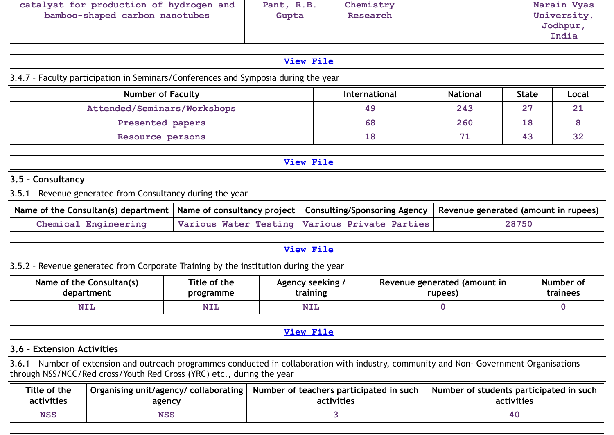|                                                                                                                                                                                                                    | <b>View File</b>                                      |                                     |                                         |              | India                 |
|--------------------------------------------------------------------------------------------------------------------------------------------------------------------------------------------------------------------|-------------------------------------------------------|-------------------------------------|-----------------------------------------|--------------|-----------------------|
|                                                                                                                                                                                                                    |                                                       |                                     |                                         |              |                       |
| 3.4.7 - Faculty participation in Seminars/Conferences and Symposia during the year                                                                                                                                 |                                                       |                                     |                                         |              |                       |
| <b>Number of Faculty</b>                                                                                                                                                                                           |                                                       | International                       | <b>National</b>                         | <b>State</b> | Local                 |
| Attended/Seminars/Workshops                                                                                                                                                                                        |                                                       | 49                                  | 243                                     | 27           | 21                    |
| Presented papers                                                                                                                                                                                                   |                                                       | 68                                  | 260                                     | 18           | 8                     |
| Resource persons                                                                                                                                                                                                   |                                                       | 18                                  | 71                                      | 43           | 32                    |
|                                                                                                                                                                                                                    | <b>View File</b>                                      |                                     |                                         |              |                       |
| 3.5 - Consultancy                                                                                                                                                                                                  |                                                       |                                     |                                         |              |                       |
| 3.5.1 - Revenue generated from Consultancy during the year                                                                                                                                                         |                                                       |                                     |                                         |              |                       |
| Name of the Consultan(s) department<br>Name of consultancy project                                                                                                                                                 |                                                       | <b>Consulting/Sponsoring Agency</b> | Revenue generated (amount in rupees)    |              |                       |
| Chemical Engineering<br>Various Water Testing                                                                                                                                                                      |                                                       | Various Private Parties             |                                         | 28750        |                       |
|                                                                                                                                                                                                                    | <b>View File</b>                                      |                                     |                                         |              |                       |
| 3.5.2 - Revenue generated from Corporate Training by the institution during the year                                                                                                                               |                                                       |                                     |                                         |              |                       |
| Title of the<br>Name of the Consultan(s)<br>department<br>programme                                                                                                                                                | Agency seeking /<br>training                          |                                     | Revenue generated (amount in<br>rupees) |              | Number of<br>trainees |
| <b>NIL</b><br><b>NIL</b>                                                                                                                                                                                           | <b>NIL</b>                                            |                                     | $\mathbf 0$                             |              | $\mathbf 0$           |
|                                                                                                                                                                                                                    | <b>View File</b>                                      |                                     |                                         |              |                       |
| 3.6 - Extension Activities                                                                                                                                                                                         |                                                       |                                     |                                         |              |                       |
| 3.6.1 - Number of extension and outreach programmes conducted in collaboration with industry, community and Non- Government Organisations<br>through NSS/NCC/Red cross/Youth Red Cross (YRC) etc., during the year |                                                       |                                     |                                         |              |                       |
| Title of the<br>Organising unit/agency/ collaborating  <br>activities<br>agency                                                                                                                                    | Number of teachers participated in such<br>activities |                                     | Number of students participated in such | activities   |                       |
| <b>NSS</b><br><b>NSS</b>                                                                                                                                                                                           | 3                                                     |                                     |                                         | 40           |                       |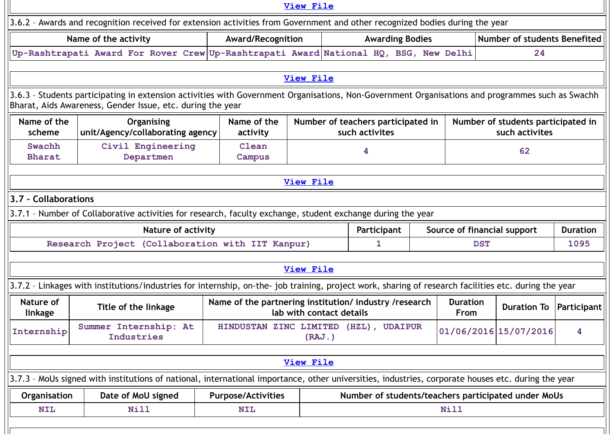|                         |                                                                                                                                                                                                                |                                                        | <b>View File</b>         |  |                |                                    |                                |            |                                                      |                 |  |
|-------------------------|----------------------------------------------------------------------------------------------------------------------------------------------------------------------------------------------------------------|--------------------------------------------------------|--------------------------|--|----------------|------------------------------------|--------------------------------|------------|------------------------------------------------------|-----------------|--|
|                         | 3.6.2 - Awards and recognition received for extension activities from Government and other recognized bodies during the year                                                                                   |                                                        |                          |  |                |                                    |                                |            |                                                      |                 |  |
|                         | Name of the activity                                                                                                                                                                                           | Award/Recognition                                      |                          |  |                | <b>Awarding Bodies</b>             |                                |            | Number of students Benefited                         |                 |  |
|                         | Up-Rashtrapati Award For Rover Crew Up-Rashtrapati Award National HQ, BSG, New Delhi                                                                                                                           |                                                        |                          |  |                |                                    |                                |            | 24                                                   |                 |  |
|                         |                                                                                                                                                                                                                |                                                        |                          |  |                |                                    |                                |            |                                                      |                 |  |
|                         |                                                                                                                                                                                                                |                                                        | <b>View File</b>         |  |                |                                    |                                |            |                                                      |                 |  |
|                         | 3.6.3 - Students participating in extension activities with Government Organisations, Non-Government Organisations and programmes such as Swachh<br>Bharat, Aids Awareness, Gender Issue, etc. during the year |                                                        |                          |  |                |                                    |                                |            |                                                      |                 |  |
| Name of the<br>scheme   | Organising<br>unit/Agency/collaborating agency                                                                                                                                                                 | Name of the<br>activity                                |                          |  | such activites | Number of teachers participated in |                                |            | Number of students participated in<br>such activites |                 |  |
| Swachh<br><b>Bharat</b> | Civil Engineering<br>Departmen                                                                                                                                                                                 | Clean<br>Campus                                        |                          |  | 4              |                                    |                                |            | 62                                                   |                 |  |
| <b>View File</b>        |                                                                                                                                                                                                                |                                                        |                          |  |                |                                    |                                |            |                                                      |                 |  |
|                         | 3.7 - Collaborations                                                                                                                                                                                           |                                                        |                          |  |                |                                    |                                |            |                                                      |                 |  |
|                         | 3.7.1 - Number of Collaborative activities for research, faculty exchange, student exchange during the year                                                                                                    |                                                        |                          |  |                |                                    |                                |            |                                                      |                 |  |
|                         | <b>Nature of activity</b>                                                                                                                                                                                      |                                                        |                          |  | Participant    |                                    |                                |            | Source of financial support                          | <b>Duration</b> |  |
|                         | Research Project (Collaboration with IIT Kanpur)                                                                                                                                                               |                                                        |                          |  | 1              |                                    |                                | <b>DST</b> |                                                      | 1095            |  |
|                         |                                                                                                                                                                                                                |                                                        |                          |  |                |                                    |                                |            |                                                      |                 |  |
|                         |                                                                                                                                                                                                                |                                                        | <b>View File</b>         |  |                |                                    |                                |            |                                                      |                 |  |
|                         | 3.7.2 - Linkages with institutions/industries for internship, on-the- job training, project work, sharing of research facilities etc. during the year                                                          |                                                        |                          |  |                |                                    |                                |            |                                                      |                 |  |
| Nature of<br>linkage    | Title of the linkage                                                                                                                                                                                           | Name of the partnering institution/ industry /research | lab with contact details |  |                |                                    | <b>Duration</b><br><b>From</b> |            | <b>Duration To</b>                                   | Participant     |  |
| Internship              | Summer Internship: At<br>Industries                                                                                                                                                                            | HINDUSTAN ZINC LIMITED (HZL),                          | (RAJ. )                  |  |                | <b>UDAIPUR</b>                     |                                |            | 01/06/2016 15/07/2016                                | 4               |  |
|                         | <b>View File</b>                                                                                                                                                                                               |                                                        |                          |  |                |                                    |                                |            |                                                      |                 |  |
|                         | 3.7.3 - MoUs signed with institutions of national, international importance, other universities, industries, corporate houses etc. during the year                                                             |                                                        |                          |  |                |                                    |                                |            |                                                      |                 |  |
| Organisation            | Date of MoU signed                                                                                                                                                                                             | <b>Purpose/Activities</b>                              |                          |  |                |                                    |                                |            | Number of students/teachers participated under MoUs  |                 |  |
| <b>NIL</b>              | <b>Nill</b>                                                                                                                                                                                                    | <b>NIL</b>                                             |                          |  |                |                                    | <b>Nill</b>                    |            |                                                      |                 |  |
|                         |                                                                                                                                                                                                                |                                                        |                          |  |                |                                    |                                |            |                                                      |                 |  |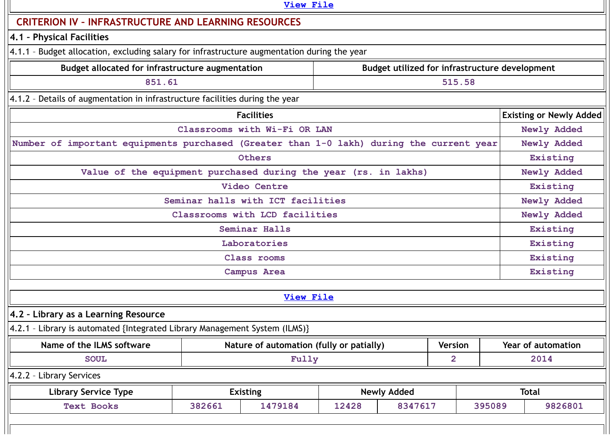|                                                                                             |        | <b>View File</b>                         |       |                                                |                |        |                                |
|---------------------------------------------------------------------------------------------|--------|------------------------------------------|-------|------------------------------------------------|----------------|--------|--------------------------------|
| <b>CRITERION IV - INFRASTRUCTURE AND LEARNING RESOURCES</b>                                 |        |                                          |       |                                                |                |        |                                |
| 4.1 - Physical Facilities                                                                   |        |                                          |       |                                                |                |        |                                |
| 4.1.1 - Budget allocation, excluding salary for infrastructure augmentation during the year |        |                                          |       |                                                |                |        |                                |
| Budget allocated for infrastructure augmentation                                            |        |                                          |       | Budget utilized for infrastructure development |                |        |                                |
| 851.61                                                                                      |        |                                          |       |                                                | 515.58         |        |                                |
| 4.1.2 - Details of augmentation in infrastructure facilities during the year                |        |                                          |       |                                                |                |        |                                |
|                                                                                             |        | <b>Facilities</b>                        |       |                                                |                |        | <b>Existing or Newly Added</b> |
|                                                                                             |        | Classrooms with Wi-Fi OR LAN             |       |                                                |                |        | Newly Added                    |
| Number of important equipments purchased (Greater than 1-0 lakh) during the current year    |        |                                          |       |                                                |                |        | Newly Added                    |
|                                                                                             |        | Others                                   |       |                                                |                |        | Existing                       |
| Value of the equipment purchased during the year (rs. in lakhs)                             |        |                                          |       |                                                |                |        | Newly Added                    |
|                                                                                             |        | Video Centre                             |       |                                                |                |        | Existing                       |
|                                                                                             |        | Seminar halls with ICT facilities        |       |                                                |                |        | Newly Added                    |
|                                                                                             |        | Classrooms with LCD facilities           |       |                                                |                |        | Newly Added                    |
|                                                                                             |        | Seminar Halls                            |       |                                                |                |        | Existing                       |
|                                                                                             |        | Laboratories                             |       |                                                |                |        | Existing                       |
|                                                                                             |        | Class rooms                              |       |                                                |                |        | Existing                       |
|                                                                                             |        | Campus Area                              |       |                                                |                |        | Existing                       |
|                                                                                             |        | <b>View File</b>                         |       |                                                |                |        |                                |
|                                                                                             |        |                                          |       |                                                |                |        |                                |
| 4.2 - Library as a Learning Resource                                                        |        |                                          |       |                                                |                |        |                                |
| 4.2.1 - Library is automated {Integrated Library Management System (ILMS)}                  |        |                                          |       |                                                |                |        |                                |
| Name of the ILMS software                                                                   |        | Nature of automation (fully or patially) |       |                                                | Version        |        | Year of automation             |
| <b>SOUL</b>                                                                                 |        | Fully                                    |       |                                                | $\overline{2}$ |        | 2014                           |
| 4.2.2 - Library Services                                                                    |        |                                          |       |                                                |                |        |                                |
| <b>Library Service Type</b>                                                                 |        | <b>Existing</b>                          |       | <b>Newly Added</b>                             |                |        | <b>Total</b>                   |
| <b>Text Books</b>                                                                           | 382661 | 1479184                                  | 12428 | 8347617                                        |                | 395089 | 9826801                        |
|                                                                                             |        |                                          |       |                                                |                |        |                                |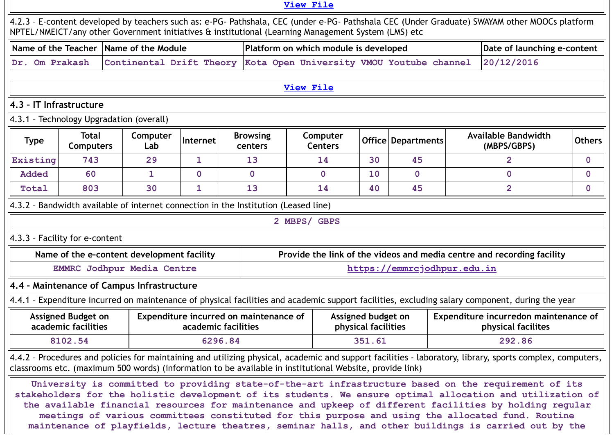|                         |                                                  |                                                                                                          |                                                               |         |                            | View File        |                                       |                                           |                             |                                           |                                                                                                                                                                                                                                                                                                                                                                                                                                                                                                                                             |               |
|-------------------------|--------------------------------------------------|----------------------------------------------------------------------------------------------------------|---------------------------------------------------------------|---------|----------------------------|------------------|---------------------------------------|-------------------------------------------|-----------------------------|-------------------------------------------|---------------------------------------------------------------------------------------------------------------------------------------------------------------------------------------------------------------------------------------------------------------------------------------------------------------------------------------------------------------------------------------------------------------------------------------------------------------------------------------------------------------------------------------------|---------------|
|                         |                                                  | NPTEL/NMEICT/any other Government initiatives & institutional (Learning Management System (LMS) etc      |                                                               |         |                            |                  |                                       |                                           |                             |                                           | 4.2.3 - E-content developed by teachers such as: e-PG- Pathshala, CEC (under e-PG- Pathshala CEC (Under Graduate) SWAYAM other MOOCs platform                                                                                                                                                                                                                                                                                                                                                                                               |               |
|                         |                                                  | Name of the Teacher Name of the Module                                                                   |                                                               |         |                            |                  | Platform on which module is developed |                                           |                             |                                           | Date of launching e-content                                                                                                                                                                                                                                                                                                                                                                                                                                                                                                                 |               |
| Dr. Om Prakash          |                                                  | Continental Drift Theory                                                                                 |                                                               |         |                            |                  |                                       |                                           |                             | Kota Open University VMOU Youtube channel | 20/12/2016                                                                                                                                                                                                                                                                                                                                                                                                                                                                                                                                  |               |
|                         |                                                  |                                                                                                          |                                                               |         |                            |                  |                                       |                                           |                             |                                           |                                                                                                                                                                                                                                                                                                                                                                                                                                                                                                                                             |               |
|                         |                                                  |                                                                                                          |                                                               |         |                            | <b>View File</b> |                                       |                                           |                             |                                           |                                                                                                                                                                                                                                                                                                                                                                                                                                                                                                                                             |               |
| 4.3 - IT Infrastructure |                                                  |                                                                                                          |                                                               |         |                            |                  |                                       |                                           |                             |                                           |                                                                                                                                                                                                                                                                                                                                                                                                                                                                                                                                             |               |
|                         |                                                  | 4.3.1 - Technology Upgradation (overall)                                                                 |                                                               |         |                            |                  |                                       |                                           |                             |                                           |                                                                                                                                                                                                                                                                                                                                                                                                                                                                                                                                             |               |
| <b>Type</b>             | <b>Total</b><br><b>Computers</b>                 | Computer<br>Lab                                                                                          | Internet                                                      |         | <b>Browsing</b><br>centers |                  | Computer<br><b>Centers</b>            |                                           | <b>Office   Departments</b> |                                           | <b>Available Bandwidth</b><br>(MBPS/GBPS)                                                                                                                                                                                                                                                                                                                                                                                                                                                                                                   | <b>Others</b> |
| Existing                | 743                                              | 29                                                                                                       | 1                                                             |         | 13                         |                  | 14                                    | 30                                        | 45                          |                                           | $\overline{2}$                                                                                                                                                                                                                                                                                                                                                                                                                                                                                                                              | $\mathbf{0}$  |
| <b>Added</b>            | 60                                               | 1                                                                                                        | $\mathbf 0$                                                   |         | $\mathbf{0}$               |                  | $\mathbf{0}$                          | 10                                        | $\mathbf 0$                 |                                           | 0                                                                                                                                                                                                                                                                                                                                                                                                                                                                                                                                           | $\mathbf{0}$  |
| Total                   | 803                                              | 30                                                                                                       | 1                                                             |         | 13                         |                  | 14                                    | 40                                        | 45                          |                                           | $\overline{2}$                                                                                                                                                                                                                                                                                                                                                                                                                                                                                                                              | $\mathbf{0}$  |
|                         |                                                  | 4.3.2 - Bandwidth available of internet connection in the Institution (Leased line)                      |                                                               |         |                            |                  |                                       |                                           |                             |                                           |                                                                                                                                                                                                                                                                                                                                                                                                                                                                                                                                             |               |
|                         |                                                  |                                                                                                          |                                                               |         |                            | 2 MBPS/ GBPS     |                                       |                                           |                             |                                           |                                                                                                                                                                                                                                                                                                                                                                                                                                                                                                                                             |               |
|                         | 4.3.3 - Facility for e-content                   |                                                                                                          |                                                               |         |                            |                  |                                       |                                           |                             |                                           |                                                                                                                                                                                                                                                                                                                                                                                                                                                                                                                                             |               |
|                         |                                                  | Name of the e-content development facility                                                               |                                                               |         |                            |                  |                                       |                                           |                             |                                           | Provide the link of the videos and media centre and recording facility                                                                                                                                                                                                                                                                                                                                                                                                                                                                      |               |
|                         |                                                  | <b>EMMRC Jodhpur Media Centre</b>                                                                        |                                                               |         |                            |                  |                                       |                                           |                             | https://emmrcjodhpur.edu.in               |                                                                                                                                                                                                                                                                                                                                                                                                                                                                                                                                             |               |
|                         |                                                  | 4.4 - Maintenance of Campus Infrastructure                                                               |                                                               |         |                            |                  |                                       |                                           |                             |                                           |                                                                                                                                                                                                                                                                                                                                                                                                                                                                                                                                             |               |
|                         |                                                  |                                                                                                          |                                                               |         |                            |                  |                                       |                                           |                             |                                           | 4.4.1 - Expenditure incurred on maintenance of physical facilities and academic support facilities, excluding salary component, during the year                                                                                                                                                                                                                                                                                                                                                                                             |               |
|                         | <b>Assigned Budget on</b><br>academic facilities |                                                                                                          | Expenditure incurred on maintenance of<br>academic facilities |         |                            |                  |                                       | Assigned budget on<br>physical facilities |                             |                                           | Expenditure incurredon maintenance of<br>physical facilites                                                                                                                                                                                                                                                                                                                                                                                                                                                                                 |               |
|                         | 8102.54                                          |                                                                                                          |                                                               | 6296.84 |                            |                  |                                       | 351.61                                    |                             |                                           | 292.86                                                                                                                                                                                                                                                                                                                                                                                                                                                                                                                                      |               |
|                         |                                                  | classrooms etc. (maximum 500 words) (information to be available in institutional Website, provide link) |                                                               |         |                            |                  |                                       |                                           |                             |                                           | 4.4.2 - Procedures and policies for maintaining and utilizing physical, academic and support facilities - laboratory, library, sports complex, computers,                                                                                                                                                                                                                                                                                                                                                                                   |               |
|                         |                                                  |                                                                                                          |                                                               |         |                            |                  |                                       |                                           |                             |                                           | University is committed to providing state-of-the-art infrastructure based on the requirement of its<br>stakeholders for the holistic development of its students. We ensure optimal allocation and utilization of<br>the available financial resources for maintenance and upkeep of different facilities by holding regular<br>meetings of various committees constituted for this purpose and using the allocated fund. Routine<br>maintenance of playfields, lecture theatres, seminar halls, and other buildings is carried out by the |               |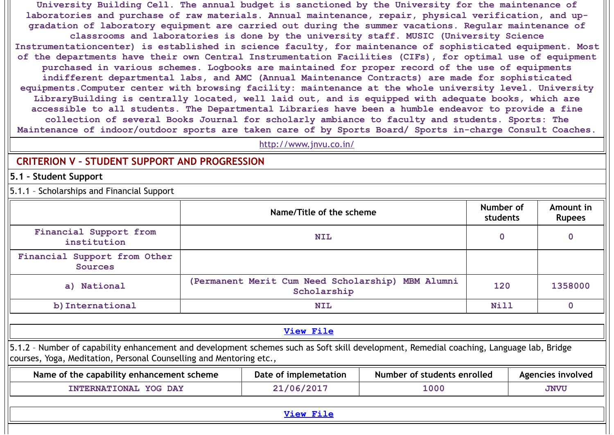**University Building Cell. The annual budget is sanctioned by the University for the maintenance of laboratories and purchase of raw materials. Annual maintenance, repair, physical verification, and upgradation of laboratory equipment are carried out during the summer vacations. Regular maintenance of classrooms and laboratories is done by the university staff. MUSIC (University Science Instrumentationcenter) is established in science faculty, for maintenance of sophisticated equipment. Most of the departments have their own Central Instrumentation Facilities (CIFs), for optimal use of equipment purchased in various schemes. Logbooks are maintained for proper record of the use of equipments indifferent departmental labs, and AMC (Annual Maintenance Contracts) are made for sophisticated equipments.Computer center with browsing facility: maintenance at the whole university level. University LibraryBuilding is centrally located, well laid out, and is equipped with adequate books, which are accessible to all students. The Departmental Libraries have been a humble endeavor to provide a fine collection of several Books Journal for scholarly ambiance to faculty and students. Sports: The Maintenance of indoor/outdoor sports are taken care of by Sports Board/ Sports in-charge Consult Coaches.**

<http://www.jnvu.co.in/>

# **CRITERION V – STUDENT SUPPORT AND PROGRESSION**

**5.1 – Student Support**

5.1.1 – Scholarships and Financial Support

|                                                                                                                                                                                                                 | Name/Title of the scheme                                         |                             | Number of<br>students | Amount in<br><b>Rupees</b> |
|-----------------------------------------------------------------------------------------------------------------------------------------------------------------------------------------------------------------|------------------------------------------------------------------|-----------------------------|-----------------------|----------------------------|
| Financial Support from<br>institution                                                                                                                                                                           | <b>NIL</b>                                                       |                             | 0                     | $\mathbf 0$                |
| Financial Support from Other<br><b>Sources</b>                                                                                                                                                                  |                                                                  |                             |                       |                            |
| a) National                                                                                                                                                                                                     | (Permanent Merit Cum Need Scholarship) MBM Alumni<br>Scholarship |                             | 120                   | 1358000                    |
| b) International                                                                                                                                                                                                | <b>NIL</b>                                                       |                             | <b>Nill</b>           | $\mathbf 0$                |
|                                                                                                                                                                                                                 |                                                                  |                             |                       |                            |
|                                                                                                                                                                                                                 | <b>View File</b>                                                 |                             |                       |                            |
| 5.1.2 - Number of capability enhancement and development schemes such as Soft skill development, Remedial coaching, Language lab, Bridge<br>courses, Yoga, Meditation, Personal Counselling and Mentoring etc., |                                                                  |                             |                       |                            |
| Name of the capability enhancement scheme                                                                                                                                                                       | Date of implemetation                                            | Number of students enrolled |                       | Agencies involved          |
| INTERNATIONAL YOG DAY                                                                                                                                                                                           | 21/06/2017                                                       | 1000                        |                       | <b>JNVU</b>                |
|                                                                                                                                                                                                                 |                                                                  |                             |                       |                            |
|                                                                                                                                                                                                                 | <b>View File</b>                                                 |                             |                       |                            |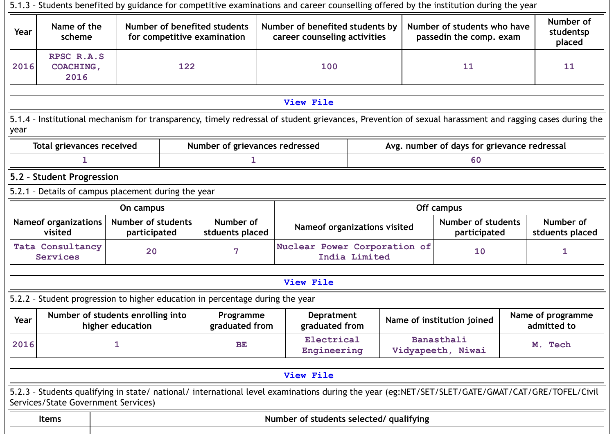|      |                                                                               |                                           |     |                                                             |  | 5.1.3 - Students benefited by guidance for competitive examinations and career counselling offered by the institution during the year           |               |  |                                                        |  |                                                                                                                                                        |
|------|-------------------------------------------------------------------------------|-------------------------------------------|-----|-------------------------------------------------------------|--|-------------------------------------------------------------------------------------------------------------------------------------------------|---------------|--|--------------------------------------------------------|--|--------------------------------------------------------------------------------------------------------------------------------------------------------|
| Year | Name of the<br>scheme                                                         |                                           |     | Number of benefited students<br>for competitive examination |  | Number of benefited students by<br>career counseling activities                                                                                 |               |  | Number of students who have<br>passedin the comp. exam |  | Number of<br>studentsp<br>placed                                                                                                                       |
| 2016 | RPSC R.A.S<br><b>COACHING,</b><br>2016                                        |                                           | 122 |                                                             |  | 100                                                                                                                                             |               |  | 11                                                     |  | 11                                                                                                                                                     |
|      |                                                                               |                                           |     |                                                             |  |                                                                                                                                                 |               |  |                                                        |  |                                                                                                                                                        |
|      |                                                                               |                                           |     |                                                             |  | <b>View File</b>                                                                                                                                |               |  |                                                        |  |                                                                                                                                                        |
| year |                                                                               |                                           |     |                                                             |  |                                                                                                                                                 |               |  |                                                        |  | 5.1.4 - Institutional mechanism for transparency, timely redressal of student grievances, Prevention of sexual harassment and ragging cases during the |
|      | <b>Total grievances received</b>                                              |                                           |     | Number of grievances redressed                              |  |                                                                                                                                                 |               |  | Avg. number of days for grievance redressal            |  |                                                                                                                                                        |
|      | 1                                                                             |                                           |     | 1                                                           |  |                                                                                                                                                 |               |  | 60                                                     |  |                                                                                                                                                        |
|      | 5.2 - Student Progression                                                     |                                           |     |                                                             |  |                                                                                                                                                 |               |  |                                                        |  |                                                                                                                                                        |
|      | 5.2.1 - Details of campus placement during the year                           |                                           |     |                                                             |  |                                                                                                                                                 |               |  |                                                        |  |                                                                                                                                                        |
|      | Off campus<br>On campus                                                       |                                           |     |                                                             |  |                                                                                                                                                 |               |  |                                                        |  |                                                                                                                                                        |
|      | <b>Nameof organizations</b><br>visited                                        | <b>Number of students</b><br>participated |     | Number of<br>stduents placed                                |  | Nameof organizations visited                                                                                                                    |               |  | <b>Number of students</b><br>participated              |  | Number of<br>stduents placed                                                                                                                           |
|      | <b>Tata Consultancy</b><br>Services                                           | 20                                        |     | 7                                                           |  | Nuclear Power Corporation of                                                                                                                    | India Limited |  | 10                                                     |  | 1                                                                                                                                                      |
|      |                                                                               |                                           |     |                                                             |  |                                                                                                                                                 |               |  |                                                        |  |                                                                                                                                                        |
|      |                                                                               |                                           |     |                                                             |  | <b>View File</b>                                                                                                                                |               |  |                                                        |  |                                                                                                                                                        |
|      | 5.2.2 - Student progression to higher education in percentage during the year |                                           |     |                                                             |  |                                                                                                                                                 |               |  |                                                        |  |                                                                                                                                                        |
| Year | Number of students enrolling into                                             | higher education                          |     | Programme<br>graduated from                                 |  | Depratment<br>graduated from                                                                                                                    |               |  | Name of institution joined                             |  | Name of programme<br>admitted to                                                                                                                       |
| 2016 |                                                                               | 1                                         |     | <b>BE</b>                                                   |  | Electrical<br>Engineering                                                                                                                       |               |  | Banasthali<br>Vidyapeeth, Niwai                        |  | M. Tech                                                                                                                                                |
|      |                                                                               |                                           |     |                                                             |  |                                                                                                                                                 |               |  |                                                        |  |                                                                                                                                                        |
|      |                                                                               |                                           |     |                                                             |  | View File                                                                                                                                       |               |  |                                                        |  |                                                                                                                                                        |
|      | Services/State Government Services)                                           |                                           |     |                                                             |  | 5.2.3 - Students qualifying in state/ national/ international level examinations during the year (eg:NET/SET/SLET/GATE/GMAT/CAT/GRE/TOFEL/Civil |               |  |                                                        |  |                                                                                                                                                        |
|      | <b>Items</b>                                                                  |                                           |     |                                                             |  | Number of students selected/ qualifying                                                                                                         |               |  |                                                        |  |                                                                                                                                                        |
|      |                                                                               |                                           |     |                                                             |  |                                                                                                                                                 |               |  |                                                        |  |                                                                                                                                                        |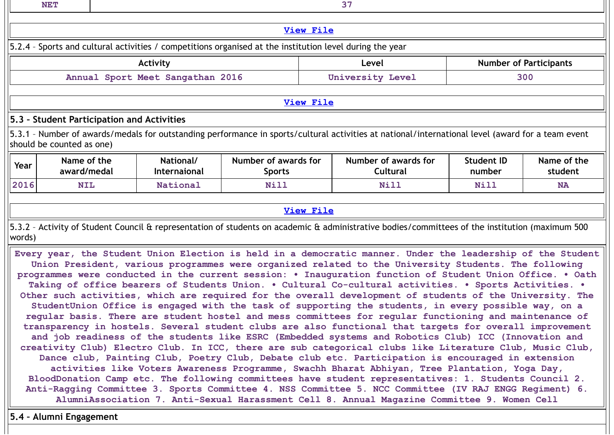|        | <b>NET</b>                                                                                                                                                                                                                                                                                                                                                                                                                                                                                                                                                                                                                                                   |  |          |      |                  | 37    |      |                               |  |  |  |  |
|--------|--------------------------------------------------------------------------------------------------------------------------------------------------------------------------------------------------------------------------------------------------------------------------------------------------------------------------------------------------------------------------------------------------------------------------------------------------------------------------------------------------------------------------------------------------------------------------------------------------------------------------------------------------------------|--|----------|------|------------------|-------|------|-------------------------------|--|--|--|--|
|        |                                                                                                                                                                                                                                                                                                                                                                                                                                                                                                                                                                                                                                                              |  |          |      | <b>View File</b> |       |      |                               |  |  |  |  |
|        | 5.2.4 - Sports and cultural activities / competitions organised at the institution level during the year                                                                                                                                                                                                                                                                                                                                                                                                                                                                                                                                                     |  |          |      |                  |       |      |                               |  |  |  |  |
|        |                                                                                                                                                                                                                                                                                                                                                                                                                                                                                                                                                                                                                                                              |  |          |      |                  |       |      |                               |  |  |  |  |
|        |                                                                                                                                                                                                                                                                                                                                                                                                                                                                                                                                                                                                                                                              |  | Activity |      |                  | Level |      | <b>Number of Participants</b> |  |  |  |  |
|        | University Level<br>Annual Sport Meet Sangathan 2016<br>300                                                                                                                                                                                                                                                                                                                                                                                                                                                                                                                                                                                                  |  |          |      |                  |       |      |                               |  |  |  |  |
|        |                                                                                                                                                                                                                                                                                                                                                                                                                                                                                                                                                                                                                                                              |  |          |      |                  |       |      |                               |  |  |  |  |
|        |                                                                                                                                                                                                                                                                                                                                                                                                                                                                                                                                                                                                                                                              |  |          |      | <b>View File</b> |       |      |                               |  |  |  |  |
|        | 5.3 - Student Participation and Activities                                                                                                                                                                                                                                                                                                                                                                                                                                                                                                                                                                                                                   |  |          |      |                  |       |      |                               |  |  |  |  |
|        | 5.3.1 - Number of awards/medals for outstanding performance in sports/cultural activities at national/international level (award for a team event<br>should be counted as one)                                                                                                                                                                                                                                                                                                                                                                                                                                                                               |  |          |      |                  |       |      |                               |  |  |  |  |
| Year   | Name of the<br>Number of awards for<br>Number of awards for<br><b>Student ID</b><br>National/<br>Name of the<br>award/medal<br><b>Internaional</b><br><b>Cultural</b><br>number<br>student<br><b>Sports</b>                                                                                                                                                                                                                                                                                                                                                                                                                                                  |  |          |      |                  |       |      |                               |  |  |  |  |
| 2016   | <b>NIL</b>                                                                                                                                                                                                                                                                                                                                                                                                                                                                                                                                                                                                                                                   |  | National | Nill |                  | Nill  | Nill | <b>NA</b>                     |  |  |  |  |
|        |                                                                                                                                                                                                                                                                                                                                                                                                                                                                                                                                                                                                                                                              |  |          |      |                  |       |      |                               |  |  |  |  |
|        |                                                                                                                                                                                                                                                                                                                                                                                                                                                                                                                                                                                                                                                              |  |          |      | <b>View File</b> |       |      |                               |  |  |  |  |
| words) | 5.3.2 - Activity of Student Council & representation of students on academic & administrative bodies/committees of the institution (maximum 500                                                                                                                                                                                                                                                                                                                                                                                                                                                                                                              |  |          |      |                  |       |      |                               |  |  |  |  |
|        | Every year, the Student Union Election is held in a democratic manner. Under the leadership of the Student<br>Union President, various programmes were organized related to the University Students. The following<br>programmes were conducted in the current session: . Inauguration function of Student Union Office. . Oath<br>Taking of office bearers of Students Union. . Cultural Co-cultural activities. . Sports Activities. .<br>Other such activities, which are required for the overall development of students of the University. The<br>StudentUnion Office is engaged with the task of supporting the students, in every possible way, on a |  |          |      |                  |       |      |                               |  |  |  |  |

**regular basis. There are student hostel and mess committees for regular functioning and maintenance of transparency in hostels. Several student clubs are also functional that targets for overall improvement and job readiness of the students like ESRC (Embedded systems and Robotics Club) ICC (Innovation and creativity Club) Electro Club. In ICC, there are sub categorical clubs like Literature Club, Music Club, Dance club, Painting Club, Poetry Club, Debate club etc. Participation is encouraged in extension activities like Voters Awareness Programme, Swachh Bharat Abhiyan, Tree Plantation, Yoga Day, BloodDonation Camp etc. The following committees have student representatives: 1. Students Council 2. Anti-Ragging Committee 3. Sports Committee 4. NSS Committee 5. NCC Committee (IV RAJ ENGG Regiment) 6. AlumniAssociation 7. Anti-Sexual Harassment Cell 8. Annual Magazine Committee 9. Women Cell**

**5.4 – Alumni Engagement**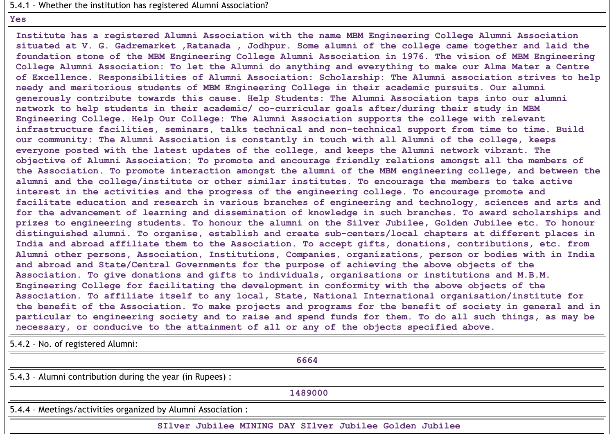### 5.4.1 – Whether the institution has registered Alumni Association?

#### **Yes**

**Institute has a registered Alumni Association with the name MBM Engineering College Alumni Association** situated at V. G. Gadremarket , Ratanada , Jodhpur. Some alumni of the college came together and laid the **foundation stone of the MBM Engineering College Alumni Association in 1976. The vision of MBM Engineering** College Alumni Association: To let the Alumni do anything and everything to make our Alma Mater a Centre **of Excellence. Responsibilities of Alumni Association: Scholarship: The Alumni association strives to help needy and meritorious students of MBM Engineering College in their academic pursuits. Our alumni generously contribute towards this cause. Help Students: The Alumni Association taps into our alumni network to help students in their academic/ co-curricular goals after/during their study in MBM Engineering College. Help Our College: The Alumni Association supports the college with relevant infrastructure facilities, seminars, talks technical and non-technical support from time to time. Build our community: The Alumni Association is constantly in touch with all Alumni of the college, keeps everyone posted with the latest updates of the college, and keeps the Alumni network vibrant. The objective of Alumni Association: To promote and encourage friendly relations amongst all the members of the Association. To promote interaction amongst the alumni of the MBM engineering college, and between the alumni and the college/institute or other similar institutes. To encourage the members to take active interest in the activities and the progress of the engineering college. To encourage promote and facilitate education and research in various branches of engineering and technology, sciences and arts and for the advancement of learning and dissemination of knowledge in such branches. To award scholarships and prizes to engineering students. To honour the alumni on the Silver Jubilee, Golden Jubilee etc. To honour distinguished alumni. To organise, establish and create sub-centers/local chapters at different places in India and abroad affiliate them to the Association. To accept gifts, donations, contributions, etc. from Alumni other persons, Association, Institutions, Companies, organizations, person or bodies with in India and abroad and State/Central Governments for the purpose of achieving the above objects of the Association. To give donations and gifts to individuals, organisations or institutions and M.B.M. Engineering College for facilitating the development in conformity with the above objects of the Association. To affiliate itself to any local, State, National International organisation/institute for** the benefit of the Association. To make projects and programs for the benefit of society in general and in particular to engineering society and to raise and spend funds for them. To do all such things, as may be **necessary, or conducive to the attainment of all or any of the objects specified above.**

5.4.2 – No. of registered Alumni:

**6664** 5.4.3 – Alumni contribution during the year (in Rupees) : **1489000** 5.4.4 – Meetings/activities organized by Alumni Association :

**SIlver Jubilee MINING DAY SIlver Jubilee Golden Jubilee**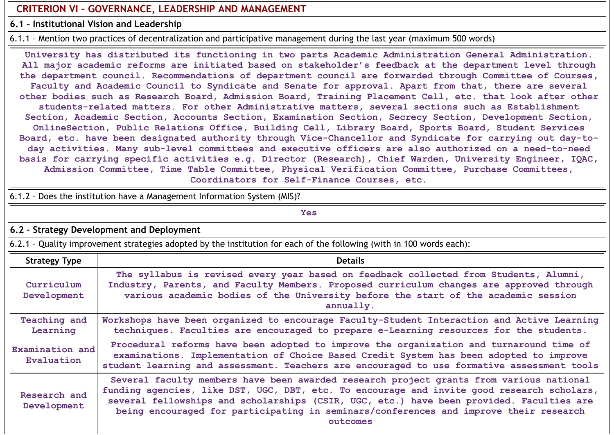# **CRITERION VI – GOVERNANCE, LEADERSHIP AND MANAGEMENT**

**6.1 – Institutional Vision and Leadership**

6.1.1 – Mention two practices of decentralization and participative management during the last year (maximum 500 words)

**University has distributed its functioning in two parts Academic Administration General Administration. All major academic reforms are initiated based on stakeholder's feedback at the department level through the department council. Recommendations of department council are forwarded through Committee of Courses, Faculty and Academic Council to Syndicate and Senate for approval. Apart from that, there are several other bodies such as Research Board, Admission Board, Training Placement Cell, etc. that look after other students-related matters. For other Administrative matters, several sections such as Establishment Section, Academic Section, Accounts Section, Examination Section, Secrecy Section, Development Section, OnlineSection, Public Relations Office, Building Cell, Library Board, Sports Board, Student Services Board, etc. have been designated authority through Vice-Chancellor and Syndicate for carrying out day-today activities. Many sub-level committees and executive officers are also authorized on a need-to-need basis for carrying specific activities e.g. Director (Research), Chief Warden, University Engineer, IQAC, Admission Committee, Time Table Committee, Physical Verification Committee, Purchase Committees, Coordinators for Self-Finance Courses, etc.**

|                               | 6.1.2 - Does the institution have a Management Information System (MIS)?                                                                                                                                                                                                                                                                                                               |
|-------------------------------|----------------------------------------------------------------------------------------------------------------------------------------------------------------------------------------------------------------------------------------------------------------------------------------------------------------------------------------------------------------------------------------|
|                               | <b>Yes</b>                                                                                                                                                                                                                                                                                                                                                                             |
|                               | 6.2 - Strategy Development and Deployment                                                                                                                                                                                                                                                                                                                                              |
|                               | 6.2.1 - Quality improvement strategies adopted by the institution for each of the following (with in 100 words each):                                                                                                                                                                                                                                                                  |
| <b>Strategy Type</b>          | <b>Details</b>                                                                                                                                                                                                                                                                                                                                                                         |
| Curriculum<br>Development     | The syllabus is revised every year based on feedback collected from Students, Alumni,<br>Industry, Parents, and Faculty Members. Proposed curriculum changes are approved through<br>various academic bodies of the University before the start of the academic session<br>annually.                                                                                                   |
| Teaching and<br>Learning      | Workshops have been organized to encourage Faculty-Student Interaction and Active Learning<br>techniques. Faculties are encouraged to prepare e-Learning resources for the students.                                                                                                                                                                                                   |
| Examination and<br>Evaluation | Procedural reforms have been adopted to improve the organization and turnaround time of<br>examinations. Implementation of Choice Based Credit System has been adopted to improve<br>student learning and assessment. Teachers are encouraged to use formative assessment tools                                                                                                        |
| Research and<br>Development   | Several faculty members have been awarded research project grants from various national<br>funding agencies, like DST, UGC, DBT, etc. To encourage and invite good research scholars,<br>several fellowships and scholarships (CSIR, UGC, etc.) have been provided. Faculties are<br>being encouraged for participating in seminars/conferences and improve their research<br>outcomes |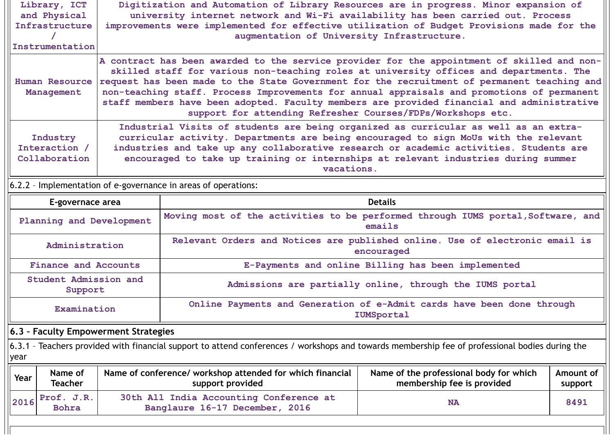|                                                                                                                                                                                                                                                                                                                                                                                                                                                                                                                                                                                         | Library, ICT<br>and Physical<br>Infrastructure<br>Instrumentation |                                      | Digitization and Automation of Library Resources are in progress. Minor expansion of<br>university internet network and Wi-Fi availability has been carried out. Process<br>improvements were implemented for effective utilization of Budget Provisions made for the<br>augmentation of University Infrastructure. |                                                                                            |                      |  |  |  |  |
|-----------------------------------------------------------------------------------------------------------------------------------------------------------------------------------------------------------------------------------------------------------------------------------------------------------------------------------------------------------------------------------------------------------------------------------------------------------------------------------------------------------------------------------------------------------------------------------------|-------------------------------------------------------------------|--------------------------------------|---------------------------------------------------------------------------------------------------------------------------------------------------------------------------------------------------------------------------------------------------------------------------------------------------------------------|--------------------------------------------------------------------------------------------|----------------------|--|--|--|--|
| A contract has been awarded to the service provider for the appointment of skilled and non-<br>skilled staff for various non-teaching roles at university offices and departments. The<br>request has been made to the State Government for the recruitment of permanent teaching and<br><b>Human Resource</b><br>non-teaching staff. Process Improvements for annual appraisals and promotions of permanent<br>Management<br>staff members have been adopted. Faculty members are provided financial and administrative<br>support for attending Refresher Courses/FDPs/Workshops etc. |                                                                   |                                      |                                                                                                                                                                                                                                                                                                                     |                                                                                            |                      |  |  |  |  |
| Industrial Visits of students are being organized as curricular as well as an extra-<br>curricular activity. Departments are being encouraged to sign MoUs with the relevant<br>Industry<br>Interaction /<br>industries and take up any collaborative research or academic activities. Students are<br>Collaboration<br>encouraged to take up training or internships at relevant industries during summer<br>vacations.                                                                                                                                                                |                                                                   |                                      |                                                                                                                                                                                                                                                                                                                     |                                                                                            |                      |  |  |  |  |
|                                                                                                                                                                                                                                                                                                                                                                                                                                                                                                                                                                                         | 6.2.2 - Implementation of e-governance in areas of operations:    |                                      |                                                                                                                                                                                                                                                                                                                     |                                                                                            |                      |  |  |  |  |
| <b>Details</b><br>E-governace area                                                                                                                                                                                                                                                                                                                                                                                                                                                                                                                                                      |                                                                   |                                      |                                                                                                                                                                                                                                                                                                                     |                                                                                            |                      |  |  |  |  |
| Moving most of the activities to be performed through IUMS portal, Software, and<br>Planning and Development<br>emails                                                                                                                                                                                                                                                                                                                                                                                                                                                                  |                                                                   |                                      |                                                                                                                                                                                                                                                                                                                     |                                                                                            |                      |  |  |  |  |
|                                                                                                                                                                                                                                                                                                                                                                                                                                                                                                                                                                                         | Administration                                                    |                                      |                                                                                                                                                                                                                                                                                                                     | Relevant Orders and Notices are published online. Use of electronic email is<br>encouraged |                      |  |  |  |  |
|                                                                                                                                                                                                                                                                                                                                                                                                                                                                                                                                                                                         | <b>Finance and Accounts</b>                                       |                                      |                                                                                                                                                                                                                                                                                                                     | E-Payments and online Billing has been implemented                                         |                      |  |  |  |  |
|                                                                                                                                                                                                                                                                                                                                                                                                                                                                                                                                                                                         | Student Admission and<br>Support                                  |                                      |                                                                                                                                                                                                                                                                                                                     | Admissions are partially online, through the IUMS portal                                   |                      |  |  |  |  |
|                                                                                                                                                                                                                                                                                                                                                                                                                                                                                                                                                                                         | Examination                                                       |                                      |                                                                                                                                                                                                                                                                                                                     | Online Payments and Generation of e-Admit cards have been done through<br>IUMSportal       |                      |  |  |  |  |
|                                                                                                                                                                                                                                                                                                                                                                                                                                                                                                                                                                                         |                                                                   | 6.3 - Faculty Empowerment Strategies |                                                                                                                                                                                                                                                                                                                     |                                                                                            |                      |  |  |  |  |
| year                                                                                                                                                                                                                                                                                                                                                                                                                                                                                                                                                                                    |                                                                   |                                      | 6.3.1 - Teachers provided with financial support to attend conferences / workshops and towards membership fee of professional bodies during the                                                                                                                                                                     |                                                                                            |                      |  |  |  |  |
| Year                                                                                                                                                                                                                                                                                                                                                                                                                                                                                                                                                                                    | Name of<br><b>Teacher</b>                                         |                                      | Name of conference/ workshop attended for which financial<br>support provided                                                                                                                                                                                                                                       | Name of the professional body for which<br>membership fee is provided                      | Amount of<br>support |  |  |  |  |
| 2016                                                                                                                                                                                                                                                                                                                                                                                                                                                                                                                                                                                    | Prof. J.R.<br><b>Bohra</b>                                        |                                      | 30th All India Accounting Conference at<br>Banglaure 16-17 December, 2016                                                                                                                                                                                                                                           | <b>NA</b>                                                                                  | 8491                 |  |  |  |  |
|                                                                                                                                                                                                                                                                                                                                                                                                                                                                                                                                                                                         |                                                                   |                                      |                                                                                                                                                                                                                                                                                                                     |                                                                                            |                      |  |  |  |  |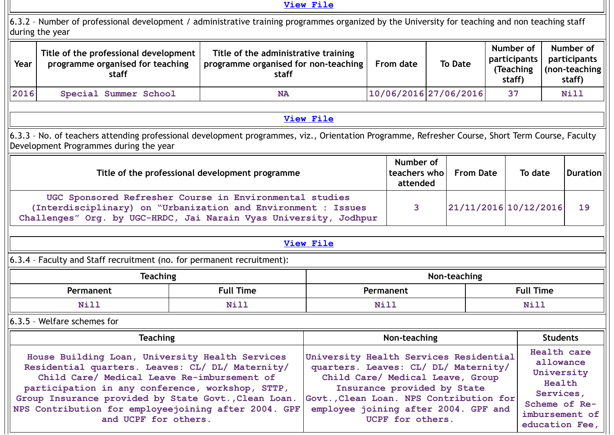### **View [File](https://assessmentonline.naac.gov.in/public/Postacc/Faculty_Emp/10746_Faculty_Emp_1620679760.xlsx)**

6.3.2 – Number of professional development / administrative training programmes organized by the University for teaching and non teaching staff during the year

| Year | Title of the professional development<br>programme organised for teaching<br>staff | Title of the administrative training<br>programme organised for non-teaching<br>staff | From date               | <b>To Date</b> | Number of<br>participants<br>(Teaching)<br>staff) | Number of<br>participants<br>(non-teaching)<br>staff) |
|------|------------------------------------------------------------------------------------|---------------------------------------------------------------------------------------|-------------------------|----------------|---------------------------------------------------|-------------------------------------------------------|
| 2016 | Special Summer School                                                              | <b>NA</b>                                                                             | $10/06/2016$ 27/06/2016 |                | 37                                                | Nill                                                  |

## **View [File](https://assessmentonline.naac.gov.in/public/Postacc/Development_training_programmes/10746_Development_training_programmes_1620679822.xlsx)**

6.3.3 – No. of teachers attending professional development programmes, viz., Orientation Programme, Refresher Course, Short Term Course, Faculty Development Programmes during the year

| Title of the professional development programme                                                                                                                                               | Number of<br>teachers who<br>attended | <b>From Date</b>        | To date | Duration |
|-----------------------------------------------------------------------------------------------------------------------------------------------------------------------------------------------|---------------------------------------|-------------------------|---------|----------|
| UGC Sponsored Refresher Course in Environmental studies<br>(Interdisciplinary) on "Urbanization and Environment : Issues<br>Challenges" Org. by UGC-HRDC, Jai Narain Vyas University, Jodhpur |                                       | $21/11/2016$ 10/12/2016 |         | 19       |

**View [File](https://assessmentonline.naac.gov.in/public/Postacc/Training_Programmes/10746_Training_Programmes_1620679913.xlsx)**

6.3.4 – Faculty and Staff recruitment (no. for permanent recruitment):

| <b>Teaching</b> |                  | Non-teaching |              |  |  |  |
|-----------------|------------------|--------------|--------------|--|--|--|
| Permanent       | <b>Full Time</b> | Permanent    | Time<br>Full |  |  |  |
| Ni 1<br>-----   | -----            | Nill         |              |  |  |  |

6.3.5 – Welfare schemes for

| <b>Teaching</b>                                                                                                                                                                                                                                                                                                                                | Non-teaching                                                                                                                                                                                                                                             | <b>Students</b>                                                                                                    |
|------------------------------------------------------------------------------------------------------------------------------------------------------------------------------------------------------------------------------------------------------------------------------------------------------------------------------------------------|----------------------------------------------------------------------------------------------------------------------------------------------------------------------------------------------------------------------------------------------------------|--------------------------------------------------------------------------------------------------------------------|
| House Building Loan, University Health Services<br>Residential quarters. Leaves: CL/ DL/ Maternity/<br>Child Care/ Medical Leave Re-imbursement of<br>participation in any conference, workshop, STTP,<br>Group Insurance provided by State Govt., Clean Loan.<br>NPS Contribution for employeejoining after 2004. GPF<br>and UCPF for others. | University Health Services Residential<br>quarters. Leaves: CL/ DL/ Maternity/<br>Child Care/ Medical Leave, Group<br>Insurance provided by State<br>Govt., Clean Loan. NPS Contribution for<br>employee joining after 2004. GPF and<br>UCPF for others. | Health care<br>allowance<br>University<br>Health<br>Services,<br>Scheme of Re-<br>imbursement of<br>education Fee, |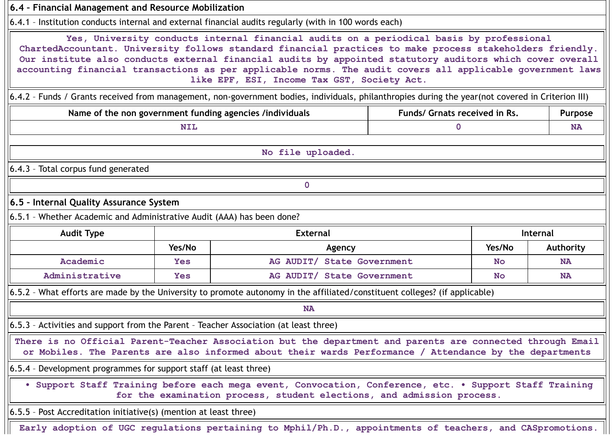| 6.4 - Financial Management and Resource Mobilization                                  |            |                                                                                                                                                                                                                                                                                                                                                                                                                                                                                 |                               |           |           |
|---------------------------------------------------------------------------------------|------------|---------------------------------------------------------------------------------------------------------------------------------------------------------------------------------------------------------------------------------------------------------------------------------------------------------------------------------------------------------------------------------------------------------------------------------------------------------------------------------|-------------------------------|-----------|-----------|
|                                                                                       |            | 6.4.1 - Institution conducts internal and external financial audits regularly (with in 100 words each)                                                                                                                                                                                                                                                                                                                                                                          |                               |           |           |
|                                                                                       |            | Yes, University conducts internal financial audits on a periodical basis by professional<br>ChartedAccountant. University follows standard financial practices to make process stakeholders friendly.<br>Our institute also conducts external financial audits by appointed statutory auditors which cover overall<br>accounting financial transactions as per applicable norms. The audit covers all applicable government laws<br>like EPF, ESI, Income Tax GST, Society Act. |                               |           |           |
|                                                                                       |            | 6.4.2 - Funds / Grants received from management, non-government bodies, individuals, philanthropies during the year(not covered in Criterion III)                                                                                                                                                                                                                                                                                                                               |                               |           |           |
|                                                                                       |            | Name of the non government funding agencies /individuals                                                                                                                                                                                                                                                                                                                                                                                                                        | Funds/ Grnats received in Rs. |           | Purpose   |
|                                                                                       | <b>NIL</b> |                                                                                                                                                                                                                                                                                                                                                                                                                                                                                 | 0                             |           | <b>NA</b> |
|                                                                                       |            | No file uploaded.                                                                                                                                                                                                                                                                                                                                                                                                                                                               |                               |           |           |
| 6.4.3 - Total corpus fund generated                                                   |            |                                                                                                                                                                                                                                                                                                                                                                                                                                                                                 |                               |           |           |
|                                                                                       |            | $\mathbf 0$                                                                                                                                                                                                                                                                                                                                                                                                                                                                     |                               |           |           |
| 6.5 - Internal Quality Assurance System                                               |            |                                                                                                                                                                                                                                                                                                                                                                                                                                                                                 |                               |           |           |
| 6.5.1 - Whether Academic and Administrative Audit (AAA) has been done?                |            |                                                                                                                                                                                                                                                                                                                                                                                                                                                                                 |                               |           |           |
| <b>Audit Type</b>                                                                     |            | <b>External</b>                                                                                                                                                                                                                                                                                                                                                                                                                                                                 |                               |           | Internal  |
|                                                                                       | Yes/No     | Agency                                                                                                                                                                                                                                                                                                                                                                                                                                                                          |                               | Yes/No    | Authority |
| Academic                                                                              | <b>Yes</b> | AG AUDIT/ State Government                                                                                                                                                                                                                                                                                                                                                                                                                                                      |                               | <b>No</b> | <b>NA</b> |
| Administrative                                                                        | <b>Yes</b> | AG AUDIT/ State Government                                                                                                                                                                                                                                                                                                                                                                                                                                                      |                               | <b>No</b> | <b>NA</b> |
|                                                                                       |            | 6.5.2 - What efforts are made by the University to promote autonomy in the affiliated/constituent colleges? (if applicable)                                                                                                                                                                                                                                                                                                                                                     |                               |           |           |
|                                                                                       |            | <b>NA</b>                                                                                                                                                                                                                                                                                                                                                                                                                                                                       |                               |           |           |
| 6.5.3 - Activities and support from the Parent - Teacher Association (at least three) |            |                                                                                                                                                                                                                                                                                                                                                                                                                                                                                 |                               |           |           |
|                                                                                       |            | There is no Official Parent-Teacher Association but the department and parents are connected through Email<br>or Mobiles. The Parents are also informed about their wards Performance / Attendance by the departments                                                                                                                                                                                                                                                           |                               |           |           |
| 6.5.4 - Development programmes for support staff (at least three)                     |            |                                                                                                                                                                                                                                                                                                                                                                                                                                                                                 |                               |           |           |
|                                                                                       |            | • Support Staff Training before each mega event, Convocation, Conference, etc. • Support Staff Training<br>for the examination process, student elections, and admission process.                                                                                                                                                                                                                                                                                               |                               |           |           |
| $(6.5.5 -$ Post Accreditation initiative(s) (mention at least three)                  |            |                                                                                                                                                                                                                                                                                                                                                                                                                                                                                 |                               |           |           |
|                                                                                       |            | Early adoption of UGC regulations pertaining to Mphil/Ph.D., appointments of teachers, and CASpromotions.                                                                                                                                                                                                                                                                                                                                                                       |                               |           |           |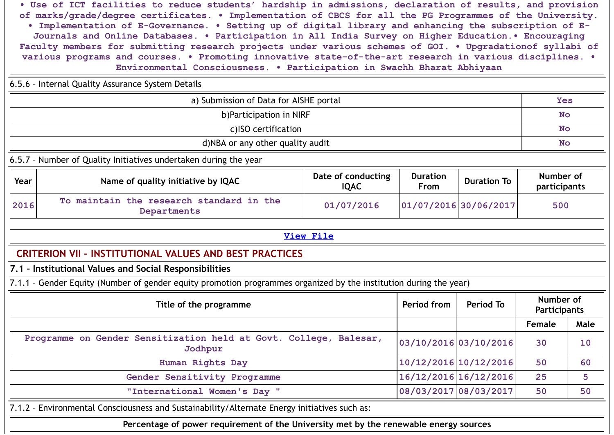**• Use of ICT facilities to reduce students' hardship in admissions, declaration of results, and provision of marks/grade/degree certificates. • Implementation of CBCS for all the PG Programmes of the University. • Implementation of E-Governance. • Setting up of digital library and enhancing the subscription of E-Journals and Online Databases. • Participation in All India Survey on Higher Education.• Encouraging Faculty members for submitting research projects under various schemes of GOI. • Upgradationof syllabi of various programs and courses. • Promoting innovative state-of-the-art research in various disciplines. • Environmental Consciousness. • Participation in Swachh Bharat Abhiyaan**

|                                                                                                             | various programs and courses. • Promoting innovative state-of-the-art research in various disciplines. •<br>Environmental Consciousness. . Participation in Swachh Bharat Abhiyaan |                       |                       |                       |                                  |      |  |  |
|-------------------------------------------------------------------------------------------------------------|------------------------------------------------------------------------------------------------------------------------------------------------------------------------------------|-----------------------|-----------------------|-----------------------|----------------------------------|------|--|--|
|                                                                                                             | 6.5.6 - Internal Quality Assurance System Details                                                                                                                                  |                       |                       |                       |                                  |      |  |  |
|                                                                                                             | a) Submission of Data for AISHE portal                                                                                                                                             |                       |                       |                       |                                  |      |  |  |
|                                                                                                             | b)Participation in NIRF                                                                                                                                                            |                       |                       |                       |                                  |      |  |  |
|                                                                                                             | c)ISO certification                                                                                                                                                                |                       |                       |                       |                                  |      |  |  |
|                                                                                                             | d)NBA or any other quality audit                                                                                                                                                   |                       |                       |                       | <b>No</b>                        |      |  |  |
|                                                                                                             | 6.5.7 - Number of Quality Initiatives undertaken during the year                                                                                                                   |                       |                       |                       |                                  |      |  |  |
| Year                                                                                                        | Date of conducting<br><b>Duration</b><br>Name of quality initiative by IQAC<br><b>Duration To</b><br><b>IQAC</b><br><b>From</b>                                                    |                       |                       |                       |                                  |      |  |  |
| 2016                                                                                                        | To maintain the research standard in the<br>Departments                                                                                                                            | 01/07/2016            |                       | 01/07/2016 30/06/2017 | 500                              |      |  |  |
|                                                                                                             |                                                                                                                                                                                    | <b>View File</b>      |                       |                       |                                  |      |  |  |
|                                                                                                             | <b>CRITERION VII - INSTITUTIONAL VALUES AND BEST PRACTICES</b>                                                                                                                     |                       |                       |                       |                                  |      |  |  |
|                                                                                                             | 7.1 - Institutional Values and Social Responsibilities                                                                                                                             |                       |                       |                       |                                  |      |  |  |
|                                                                                                             | 7.1.1 - Gender Equity (Number of gender equity promotion programmes organized by the institution during the year)                                                                  |                       |                       |                       |                                  |      |  |  |
|                                                                                                             | Title of the programme                                                                                                                                                             |                       | Period from           | Period To             | Number of<br><b>Participants</b> |      |  |  |
|                                                                                                             |                                                                                                                                                                                    |                       |                       |                       | <b>Female</b>                    | Male |  |  |
| Programme on Gender Sensitization held at Govt. College, Balesar,<br>03/10/2016 03/10/2016<br>30<br>Jodhpur |                                                                                                                                                                                    |                       |                       |                       |                                  |      |  |  |
|                                                                                                             | Human Rights Day                                                                                                                                                                   | 10/12/2016 10/12/2016 |                       | 50                    | 60                               |      |  |  |
| Gender Sensitivity Programme                                                                                |                                                                                                                                                                                    |                       | 16/12/2016 16/12/2016 |                       | 25                               | 5    |  |  |
|                                                                                                             | "International Women's Day "                                                                                                                                                       |                       | 08/03/2017 08/03/2017 |                       | 50                               | 50   |  |  |
|                                                                                                             | 7.1.2 - Environmental Consciousness and Sustainability/Alternate Energy initiatives such as:                                                                                       |                       |                       |                       |                                  |      |  |  |
|                                                                                                             | Percentage of power requirement of the University met by the renewable energy sources                                                                                              |                       |                       |                       |                                  |      |  |  |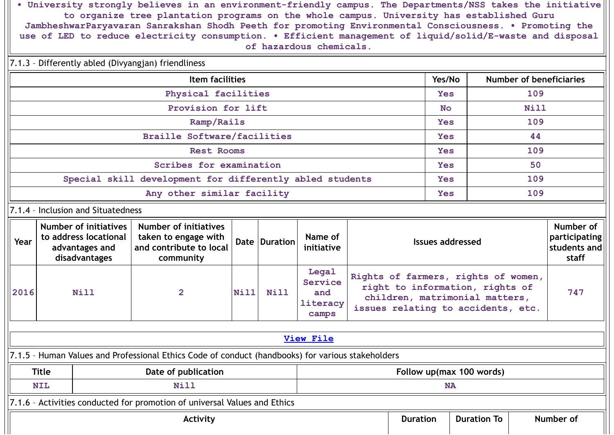**• University strongly believes in an environment-friendly campus. The Departments/NSS takes the initiative to organize tree plantation programs on the whole campus. University has established Guru JambheshwarParyavaran Sanrakshan Shodh Peeth for promoting Environmental Consciousness. • Promoting the use of LED to reduce electricity consumption. • Efficient management of liquid/solid/E-waste and disposal of hazardous chemicals.**

|                                    | 7.1.3 - Differently abled (Divyangjan) friendliness             |                                                                                          |                                                                                                   |             |               |                                              |            |                                                                                                                                                |            |  |                                            |  |
|------------------------------------|-----------------------------------------------------------------|------------------------------------------------------------------------------------------|---------------------------------------------------------------------------------------------------|-------------|---------------|----------------------------------------------|------------|------------------------------------------------------------------------------------------------------------------------------------------------|------------|--|--------------------------------------------|--|
|                                    |                                                                 |                                                                                          | <b>Item facilities</b>                                                                            |             | Yes/No        |                                              |            | <b>Number of beneficiaries</b>                                                                                                                 |            |  |                                            |  |
|                                    | Physical facilities                                             |                                                                                          |                                                                                                   |             |               |                                              |            |                                                                                                                                                |            |  | 109                                        |  |
|                                    | Provision for lift                                              |                                                                                          |                                                                                                   |             |               |                                              |            |                                                                                                                                                |            |  | Nill                                       |  |
| Ramp/Rails                         |                                                                 |                                                                                          |                                                                                                   |             |               |                                              |            |                                                                                                                                                |            |  | 109                                        |  |
| <b>Braille Software/facilities</b> |                                                                 |                                                                                          |                                                                                                   |             |               |                                              |            |                                                                                                                                                |            |  | 44                                         |  |
| <b>Rest Rooms</b>                  |                                                                 |                                                                                          |                                                                                                   |             |               |                                              |            |                                                                                                                                                | Yes        |  | 109                                        |  |
|                                    |                                                                 |                                                                                          | Scribes for examination                                                                           |             |               |                                              |            |                                                                                                                                                | <b>Yes</b> |  | 50                                         |  |
|                                    |                                                                 |                                                                                          | Special skill development for differently abled students                                          |             |               |                                              |            |                                                                                                                                                | <b>Yes</b> |  | 109                                        |  |
| Any other similar facility         |                                                                 |                                                                                          |                                                                                                   |             |               |                                              | <b>Yes</b> |                                                                                                                                                | 109        |  |                                            |  |
|                                    | 7.1.4 - Inclusion and Situatedness                              |                                                                                          |                                                                                                   |             |               |                                              |            |                                                                                                                                                |            |  |                                            |  |
| Year                               |                                                                 | <b>Number of initiatives</b><br>to address locational<br>advantages and<br>disadvantages | Number of initiatives<br>taken to engage with<br>and contribute to local<br>community             |             | Date Duration | Name of<br>initiative                        |            | <b>Issues addressed</b><br>staff                                                                                                               |            |  | Number of<br>participating<br>students and |  |
| 2016                               |                                                                 | Nill                                                                                     | $\overline{2}$                                                                                    | <b>Nill</b> | Nill          | Legal<br>Service<br>and<br>literacy<br>camps |            | Rights of farmers, rights of women,<br>right to information, rights of<br>children, matrimonial matters,<br>issues relating to accidents, etc. |            |  | 747                                        |  |
|                                    |                                                                 |                                                                                          |                                                                                                   |             |               |                                              |            |                                                                                                                                                |            |  |                                            |  |
|                                    |                                                                 |                                                                                          |                                                                                                   |             |               | <b>View File</b>                             |            |                                                                                                                                                |            |  |                                            |  |
|                                    |                                                                 |                                                                                          | 7.1.5 - Human Values and Professional Ethics Code of conduct (handbooks) for various stakeholders |             |               |                                              |            |                                                                                                                                                |            |  |                                            |  |
|                                    | <b>Title</b><br>Date of publication<br>Follow up(max 100 words) |                                                                                          |                                                                                                   |             |               |                                              |            |                                                                                                                                                |            |  |                                            |  |
|                                    | <b>NIL</b>                                                      |                                                                                          | <b>Nill</b>                                                                                       |             |               |                                              |            |                                                                                                                                                | <b>NA</b>  |  |                                            |  |
|                                    |                                                                 |                                                                                          | 7.1.6 - Activities conducted for promotion of universal Values and Ethics                         |             |               |                                              |            |                                                                                                                                                |            |  |                                            |  |
|                                    | <b>Duration To</b><br>Number of<br><b>Duration</b><br>Activity  |                                                                                          |                                                                                                   |             |               |                                              |            |                                                                                                                                                |            |  |                                            |  |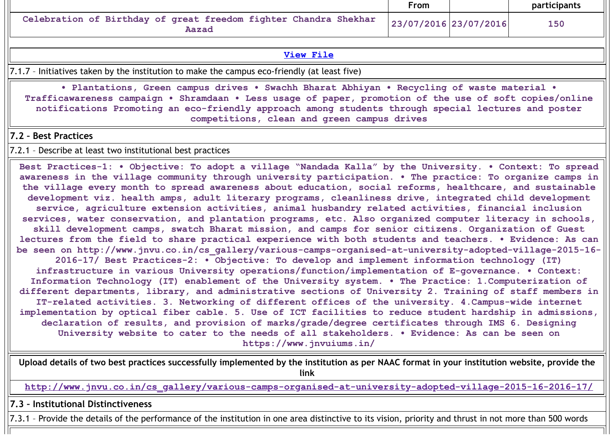|                                                                           | From                  | <b>participants</b> |
|---------------------------------------------------------------------------|-----------------------|---------------------|
| Celebration of Birthday of great freedom fighter Chandra Shekhar<br>Aazad | 23/07/2016 23/07/2016 | 150                 |

### **View [File](https://assessmentonline.naac.gov.in/public/Postacc/promotion_activities/10746_promotion_activities_1620681231.xlsx)**

7.1.7 – Initiatives taken by the institution to make the campus eco-friendly (at least five)

**• Plantations, Green campus drives • Swachh Bharat Abhiyan • Recycling of waste material • Trafficawareness campaign • Shramdaan • Less usage of paper, promotion of the use of soft copies/online notifications Promoting an eco-friendly approach among students through special lectures and poster competitions, clean and green campus drives**

### **7.2 – Best Practices**

7.2.1 – Describe at least two institutional best practices

**Best Practices-1: • Objective: To adopt a village "Nandada Kalla" by the University. • Context: To spread awareness in the village community through university participation. • The practice: To organize camps in the village every month to spread awareness about education, social reforms, healthcare, and sustainable development viz. health amps, adult literary programs, cleanliness drive, integrated child development service, agriculture extension activities, animal husbandry related activities, financial inclusion services, water conservation, and plantation programs, etc. Also organized computer literacy in schools, skill development camps, swatch Bharat mission, and camps for senior citizens. Organization of Guest lectures from the field to share practical experience with both students and teachers. • Evidence: As can be seen on http://www.jnvu.co.in/cs\_gallery/various-camps-organised-at-university-adopted-village-2015-16- 2016-17/ Best Practices-2: • Objective: To develop and implement information technology (IT) infrastructure in various University operations/function/implementation of E-governance. • Context: Information Technology (IT) enablement of the University system. • The Practice: 1.Computerization of different departments, library, and administrative sections of University 2. Training of staff members in IT-related activities. 3. Networking of different offices of the university. 4.Campus-wide internet implementation by optical fiber cable. 5. Use of ICT facilities to reduce student hardship in admissions, declaration of results, and provision of marks/grade/degree certificates through IMS 6. Designing University website to cater to the needs of all stakeholders. • Evidence: As can be seen on https://www.jnvuiums.in/**

**Upload details of two best practices successfully implemented by the institution as per NAAC format in your institution website, provide the link**

**[http://www.jnvu.co.in/cs\\_gallery/various-camps-organised-at-university-adopted-village-2015-16-2016-17/](http://www.jnvu.co.in/cs_gallery/various-camps-organised-at-university-adopted-village-2015-16-2016-17/)**

**7.3 – Institutional Distinctiveness**

7.3.1 – Provide the details of the performance of the institution in one area distinctive to its vision, priority and thrust in not more than 500 words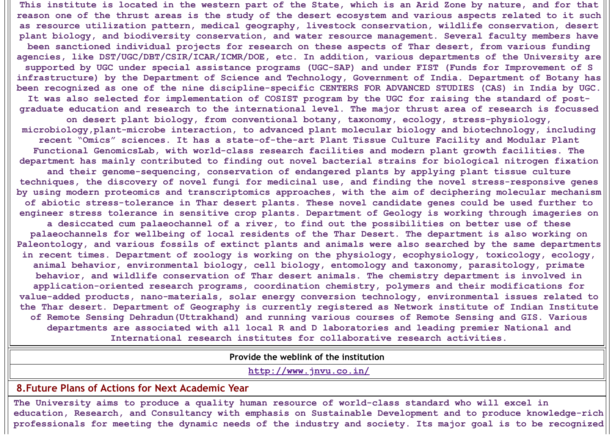This institute is located in the western part of the State, which is an Arid Zone by nature, and for that reason one of the thrust areas is the study of the desert ecosystem and various aspects related to it such **as resource utilization pattern, medical geography, livestock conservation, wildlife conservation, desert plant biology, and biodiversity conservation, and water resource management. Several faculty members have been sanctioned individual projects for research on these aspects of Thar desert, from various funding agencies, like DST/UGC/DBT/CSIR/ICAR/ICMR/DOE, etc. In addition, various departments of the University are supported by UGC under special assistance programs (UGC-SAP) and under FIST (Funds for Improvement of S infrastructure) by the Department of Science and Technology, Government of India. Department of Botany has** been recognized as one of the nine discipline-specific CENTERS FOR ADVANCED STUDIES (CAS) in India by UGC. It was also selected for implementation of COSIST program by the UGC for raising the standard of post**graduate education and research to the international level. The major thrust area of research is focussed on desert plant biology, from conventional botany, taxonomy, ecology, stress-physiology, microbiology,plant-microbe interaction, to advanced plant molecular biology and biotechnology, including recent "Omics" sciences. It has a state-of-the-art Plant Tissue Culture Facility and Modular Plant Functional GenomicsLab, with world-class research facilities and modern plant growth facilities. The department has mainly contributed to finding out novel bacterial strains for biological nitrogen fixation and their genome-sequencing, conservation of endangered plants by applying plant tissue culture techniques, the discovery of novel fungi for medicinal use, and finding the novel stress-responsive genes by using modern proteomics and transcriptomics approaches, with the aim of deciphering molecular mechanism of abiotic stress-tolerance in Thar desert plants. These novel candidate genes could be used further to engineer stress tolerance in sensitive crop plants. Department of Geology is working through imageries on a desiccated cum palaeochannel of a river, to find out the possibilities on better use of these palaeochannels for wellbeing of local residents of the Thar Desert. The department is also working on Paleontology, and various fossils of extinct plants and animals were also searched by the same departments in recent times. Department of zoology is working on the physiology, ecophysiology, toxicology, ecology, animal behavior, environmental biology, cell biology, entomology and taxonomy, parasitology, primate behavior, and wildlife conservation of Thar desert animals. The chemistry department is involved in application-oriented research programs, coordination chemistry, polymers and their modifications for value-added products, nano-materials, solar energy conversion technology, environmental issues related to the Thar desert. Department of Geography is currently registered as Network institute of Indian Institute of Remote Sensing Dehradun(Uttrakhand) and running various courses of Remote Sensing and GIS. Various departments are associated with all local R and D laboratories and leading premier National and International research institutes for collaborative research activities.**

**Provide the weblink of the institution**

**<http://www.jnvu.co.in/>**

# **8.Future Plans of Actions for Next Academic Year**

**The University aims to produce a quality human resource of world-class standard who will excel in education, Research, and Consultancy with emphasis on Sustainable Development and to produce knowledge-rich** professionals for meeting the dynamic needs of the industry and society. Its major goal is to be recognized